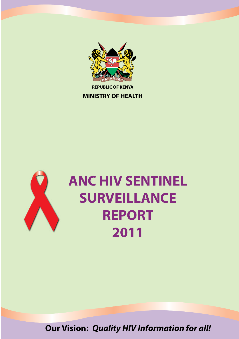

**REPUBLIC OF KENYA**

**MINISTRY OF HEALTH**



# **ANC HIV SENTINEL SURVEILLANCE REPORT 2011**

**Our Vision:** *Quality HIV Information for all!*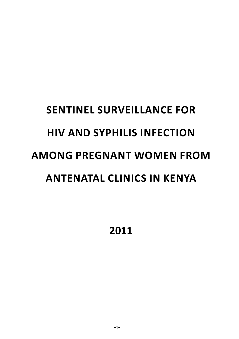# **Sentinel Surveillance for HIV and syphilis INFECTION AMONG PREGNANT WOMEN from Antenatal clinics in Kenya**

**2011**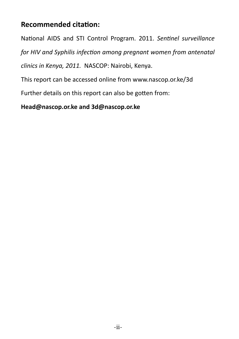# **Recommended citation:**

National AIDS and STI Control Program. 2011. *Sentinel surveillance* 

*for HIV and Syphilis infection among pregnant women from antenatal* 

*clinics in Kenya, 2011.* NASCOP: Nairobi, Kenya.

This report can be accessed online from www.nascop.or.ke/3d

Further details on this report can also be gotten from:

**Head@nascop.or.ke and 3d@nascop.or.ke**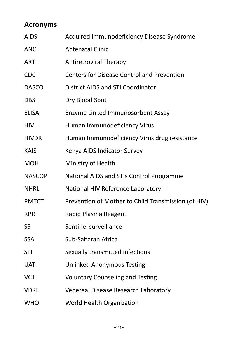# **Acronyms**

| <b>AIDS</b>   | Acquired Immunodeficiency Disease Syndrome          |
|---------------|-----------------------------------------------------|
| <b>ANC</b>    | <b>Antenatal Clinic</b>                             |
| ART           | Antiretroviral Therapy                              |
| <b>CDC</b>    | <b>Centers for Disease Control and Prevention</b>   |
| <b>DASCO</b>  | <b>District AIDS and STI Coordinator</b>            |
| <b>DBS</b>    | Dry Blood Spot                                      |
| <b>ELISA</b>  | Enzyme Linked Immunosorbent Assay                   |
| <b>HIV</b>    | Human Immunodeficiency Virus                        |
| <b>HIVDR</b>  | Human Immunodeficiency Virus drug resistance        |
| <b>KAIS</b>   | Kenya AIDS Indicator Survey                         |
| <b>MOH</b>    | Ministry of Health                                  |
| <b>NASCOP</b> | National AIDS and STIs Control Programme            |
| <b>NHRL</b>   | National HIV Reference Laboratory                   |
| <b>PMTCT</b>  | Prevention of Mother to Child Transmission (of HIV) |
| <b>RPR</b>    | Rapid Plasma Reagent                                |
| SS            | Sentinel surveillance                               |
| <b>SSA</b>    | Sub-Saharan Africa                                  |
| <b>STI</b>    | Sexually transmitted infections                     |
| <b>UAT</b>    | <b>Unlinked Anonymous Testing</b>                   |
| <b>VCT</b>    | <b>Voluntary Counseling and Testing</b>             |
| <b>VDRL</b>   | Venereal Disease Research Laboratory                |
| <b>WHO</b>    | World Health Organization                           |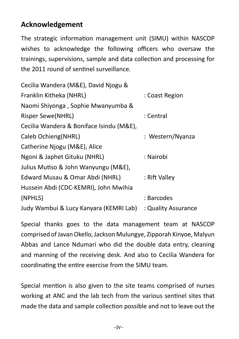# **Acknowledgement**

The strategic information management unit (SIMU) within NASCOP wishes to acknowledge the following officers who oversaw the trainings, supervisions, sample and data collection and processing for the 2011 round of sentinel surveillance.

| Cecilia Wandera (M&E), David Njogu &     |                     |
|------------------------------------------|---------------------|
| Franklin Kitheka (NHRL)                  | : Coast Region      |
| Naomi Shiyonga, Sophie Mwanyumba &       |                     |
| <b>Risper Sewe(NHRL)</b>                 | : Central           |
| Cecilia Wandera & Boniface Isindu (M&E), |                     |
| Caleb Ochieng(NHRL)                      | : Western/Nyanza    |
| Catherine Njogu (M&E), Alice             |                     |
| Ngoni & Japhet Gituku (NHRL)             | : Nairobi           |
| Julius Mutiso & John Wanyungu (M&E),     |                     |
| Edward Musau & Omar Abdi (NHRL)          | : Rift Valley       |
| Hussein Abdi (CDC-KEMRI), John Mwihia    |                     |
| (NPHLS)                                  | : Barcodes          |
| Judy Wambui & Lucy Kanyara (KEMRI Lab)   | : Quality Assurance |

Special thanks goes to the data management team at NASCOP comprised of Javan Okello, Jackson Mulungye, Zipporah Kinyoe, Malyun Abbas and Lance Ndumari who did the double data entry, cleaning and manning of the receiving desk. And also to Cecilia Wandera for coordinating the entire exercise from the SIMU team.

Special mention is also given to the site teams comprised of nurses working at ANC and the lab tech from the various sentinel sites that made the data and sample collection possible and not to leave out the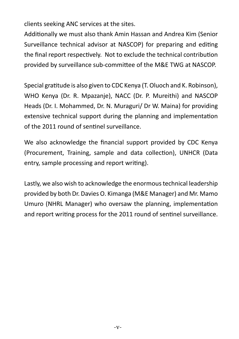clients seeking ANC services at the sites.

Additionally we must also thank Amin Hassan and Andrea Kim (Senior Surveillance technical advisor at NASCOP) for preparing and editing the final report respectively. Not to exclude the technical contribution provided by surveillance sub-committee of the M&E TWG at NASCOP.

Special gratitude is also given to CDC Kenya (T. Oluoch and K. Robinson), WHO Kenya (Dr. R. Mpazanje), NACC (Dr. P. Mureithi) and NASCOP Heads (Dr. I. Mohammed, Dr. N. Muraguri/ Dr W. Maina) for providing extensive technical support during the planning and implementation of the 2011 round of sentinel surveillance.

We also acknowledge the financial support provided by CDC Kenya (Procurement, Training, sample and data collection), UNHCR (Data entry, sample processing and report writing).

Lastly, we also wish to acknowledge the enormous technical leadership provided by both Dr. Davies O. Kimanga (M&E Manager) and Mr. Mamo Umuro (NHRL Manager) who oversaw the planning, implementation and report writing process for the 2011 round of sentinel surveillance.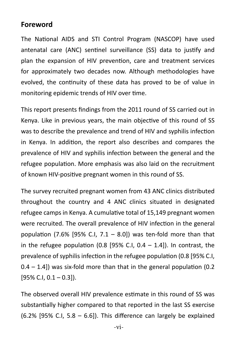#### **Foreword**

The National AIDS and STI Control Program (NASCOP) have used antenatal care (ANC) sentinel surveillance (SS) data to justify and plan the expansion of HIV prevention, care and treatment services for approximately two decades now. Although methodologies have evolved, the continuity of these data has proved to be of value in monitoring epidemic trends of HIV over time.

This report presents findings from the 2011 round of SS carried out in Kenya. Like in previous years, the main objective of this round of SS was to describe the prevalence and trend of HIV and syphilis infection in Kenya. In addition, the report also describes and compares the prevalence of HIV and syphilis infection between the general and the refugee population. More emphasis was also laid on the recruitment of known HIV-positive pregnant women in this round of SS.

The survey recruited pregnant women from 43 ANC clinics distributed throughout the country and 4 ANC clinics situated in designated refugee camps in Kenya. A cumulative total of 15,149 pregnant women were recruited. The overall prevalence of HIV infection in the general population (7.6% [95% C.I,  $7.1 - 8.0$ ]) was ten-fold more than that in the refugee population  $(0.8 \, 195\% \, C.I. \, 0.4 - 1.4]$ ). In contrast, the prevalence of syphilis infection in the refugee population (0.8 [95% C.I,  $0.4 - 1.4$ ) was six-fold more than that in the general population (0.2)  $[95\%$  C.I,  $0.1 - 0.3]$ ).

The observed overall HIV prevalence estimate in this round of SS was substantially higher compared to that reported in the last SS exercise  $(6.2\%$  [95% C.I, 5.8 – 6.6]). This difference can largely be explained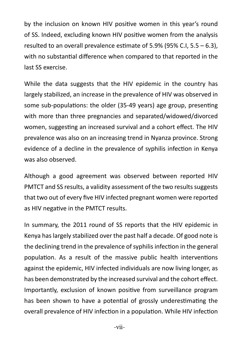by the inclusion on known HIV positive women in this year's round of SS. Indeed, excluding known HIV positive women from the analysis resulted to an overall prevalence estimate of 5.9% (95% C.I, 5.5 – 6.3), with no substantial difference when compared to that reported in the last SS exercise.

While the data suggests that the HIV epidemic in the country has largely stabilized, an increase in the prevalence of HIV was observed in some sub-populations: the older (35-49 years) age group, presenting with more than three pregnancies and separated/widowed/divorced women, suggesting an increased survival and a cohort effect. The HIV prevalence was also on an increasing trend in Nyanza province. Strong evidence of a decline in the prevalence of syphilis infection in Kenya was also observed.

Although a good agreement was observed between reported HIV PMTCT and SS results, a validity assessment of the two results suggests that two out of every five HIV infected pregnant women were reported as HIV negative in the PMTCT results.

In summary, the 2011 round of SS reports that the HIV epidemic in Kenya has largely stabilized over the past half a decade. Of good note is the declining trend in the prevalence of syphilis infection in the general population. As a result of the massive public health interventions against the epidemic, HIV infected individuals are now living longer, as has been demonstrated by the increased survival and the cohort effect. Importantly, exclusion of known positive from surveillance program has been shown to have a potential of grossly underestimating the overall prevalence of HIV infection in a population. While HIV infection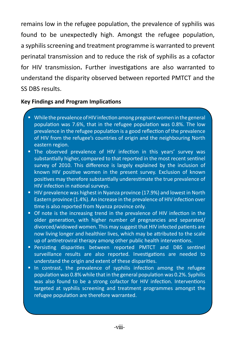remains low in the refugee population, the prevalence of syphilis was found to be unexpectedly high. Amongst the refugee population, a syphilis screening and treatment programme is warranted to prevent perinatal transmission and to reduce the risk of syphilis as a cofactor for HIV transmission**.** Further investigations are also warranted to understand the disparity observed between reported PMTCT and the SS DBS results.

#### **Key Findings and Program Implications**

- While the prevalence of HIV infection among pregnant women in the general population was 7.6%, that in the refugee population was 0.8%. The low prevalence in the refugee population is a good reflection of the prevalence of HIV from the refugee's countries of origin and the neighbouring North eastern region.
- **The observed prevalence of HIV infection in this years' survey was** substantially higher, compared to that reported in the most recent sentinel survey of 2010. This difference is largely explained by the inclusion of known HIV positive women in the present survey. Exclusion of known positives may therefore substantially underestimate the true prevalence of HIV infection in national surveys.
- HIV prevalence was highest in Nyanza province (17.9%) and lowest in North Eastern province (1.4%). An increase in the prevalence of HIV infection over time is also reported from Nyanza province only.
- Of note is the increasing trend in the prevalence of HIV infection in the older generation, with higher number of pregnancies and separated/ divorced/widowed women. This may suggest that HIV infected patients are now living longer and healthier lives, which may be attributed to the scale up of antiretroviral therapy among other public health interventions.
- Persisting disparities between reported PMTCT and DBS sentinel surveillance results are also reported. Investigations are needed to understand the origin and extent of these disparities.
- In contrast, the prevalence of syphilis infection among the refugee population was 0.8% while that in the general population was 0.2%. Syphilis was also found to be a strong cofactor for HIV infection. Interventions targeted at syphilis screening and treatment programmes amongst the refugee population are therefore warranted.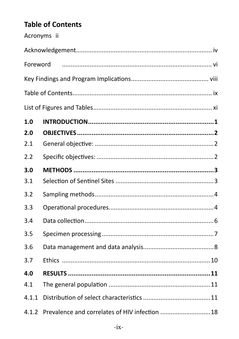# **Table of Contents**

|          | Acronyms ii                                    |  |
|----------|------------------------------------------------|--|
|          |                                                |  |
| Foreword |                                                |  |
|          |                                                |  |
|          |                                                |  |
|          |                                                |  |
| 1.0      |                                                |  |
| 2.0      |                                                |  |
| 2.1      |                                                |  |
| 2.2      |                                                |  |
| 3.0      |                                                |  |
| 3.1      |                                                |  |
| 3.2      |                                                |  |
| 3.3      |                                                |  |
| 3.4      |                                                |  |
| 3.5      |                                                |  |
| 3.6      |                                                |  |
| 3.7      |                                                |  |
| 4.0      |                                                |  |
| 4.1      |                                                |  |
| 4.1.1    |                                                |  |
| 4.1.2    | Prevalence and correlates of HIV infection  18 |  |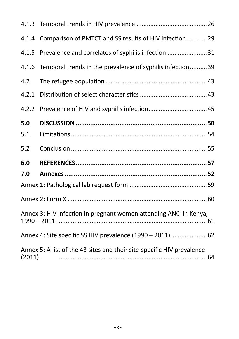| 4.1.4   | Comparison of PMTCT and SS results of HIV infection29                  |  |
|---------|------------------------------------------------------------------------|--|
| 4.1.5   | Prevalence and correlates of syphilis infection 31                     |  |
| 4.1.6   | Temporal trends in the prevalence of syphilis infection 39             |  |
| 4.2     |                                                                        |  |
| 4.2.1   |                                                                        |  |
| 4.2.2   |                                                                        |  |
| 5.0     |                                                                        |  |
| 5.1     |                                                                        |  |
| 5.2     |                                                                        |  |
| 6.0     |                                                                        |  |
| 7.0     |                                                                        |  |
|         |                                                                        |  |
|         |                                                                        |  |
|         | Annex 3: HIV infection in pregnant women attending ANC in Kenya,       |  |
|         | Annex 4: Site specific SS HIV prevalence (1990 - 2011).  62            |  |
| (2011). | Annex 5: A list of the 43 sites and their site-specific HIV prevalence |  |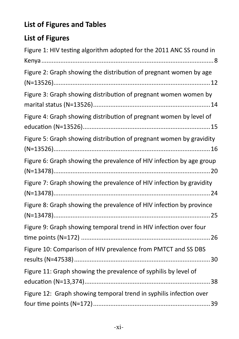# **List of Figures and Tables**

# **List of Figures**

| Figure 1: HIV testing algorithm adopted for the 2011 ANC SS round in |
|----------------------------------------------------------------------|
|                                                                      |
| Figure 2: Graph showing the distribution of pregnant women by age    |
|                                                                      |
| Figure 3: Graph showing distribution of pregnant women women by      |
| Figure 4: Graph showing distribution of pregnant women by level of   |
| Figure 5: Graph showing distribution of pregnant women by gravidity  |
| Figure 6: Graph showing the prevalence of HIV infection by age group |
| Figure 7: Graph showing the prevalence of HIV infection by gravidity |
| Figure 8: Graph showing the prevalence of HIV infection by province  |
| Figure 9: Graph showing temporal trend in HIV infection over four    |
| Figure 10: Comparison of HIV prevalence from PMTCT and SS DBS        |
| Figure 11: Graph showing the prevalence of syphilis by level of      |
| Figure 12: Graph showing temporal trend in syphilis infection over   |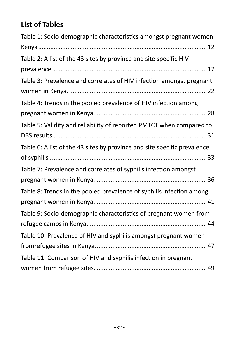# **List of Tables**

| Table 1: Socio-demographic characteristics amongst pregnant women        |
|--------------------------------------------------------------------------|
|                                                                          |
| Table 2: A list of the 43 sites by province and site specific HIV        |
|                                                                          |
| Table 3: Prevalence and correlates of HIV infection amongst pregnant     |
|                                                                          |
| Table 4: Trends in the pooled prevalence of HIV infection among          |
|                                                                          |
| Table 5: Validity and reliability of reported PMTCT when compared to     |
|                                                                          |
| Table 6: A list of the 43 sites by province and site specific prevalence |
|                                                                          |
| Table 7: Prevalence and correlates of syphilis infection amongst         |
|                                                                          |
| Table 8: Trends in the pooled prevalence of syphilis infection among     |
|                                                                          |
| Table 9: Socio-demographic characteristics of pregnant women from        |
|                                                                          |
| Table 10: Prevalence of HIV and syphilis amongst pregnant women          |
|                                                                          |
| Table 11: Comparison of HIV and syphilis infection in pregnant           |
|                                                                          |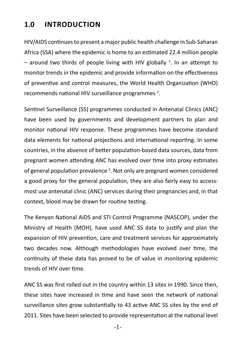#### **INTRODUCTION 1.0**

HIV/AIDS continues to present a major public health challenge in Sub-Saharan Africa (SSA) where the epidemic is home to an estimated 22.4 million people - around two thirds of people living with HIV globally <sup>1</sup>. In an attempt to monitor trends in the epidemic and provide information on the effectiveness of preventive and control measures, the World Health Organization (WHO) recommends national HIV surveillance programmes<sup>2</sup>.

Sentinel Surveillance (SS) programmes conducted in Antenatal Clinics (ANC) have been used by governments and development partners to plan and monitor national HIV response. These programmes have become standard data elements for national projections and international reporting. In some countries, in the absence of better population-based data sources, data from pregnant women attending ANC has evolved over time into proxy estimates of general population prevalence<sup>3</sup>. Not only are pregnant women considered a good proxy for the general population, they are also fairly easy to access: most use antenatal clinic (ANC) services during their pregnancies and, in that context, blood may be drawn for routine testing.

The Kenyan National AIDS and STI Control Programme (NASCOP), under the Ministry of Health (MOH), have used ANC SS data to justify and plan the expansion of HIV prevention, care and treatment services for approximately two decades now. Although methodologies have evolved over time, the continuity of these data has proved to be of value in monitoring epidemic trends of HIV over time.

ANC SS was first rolled out in the country within 13 sites in 1990. Since then, these sites have increased in time and have seen the network of national surveillance sites grow substantially to 43 active ANC SS sites by the end of 2011. Sites have been selected to provide representation at the national level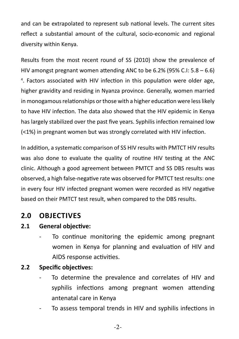and can be extrapolated to represent sub national levels. The current sites reflect a substantial amount of the cultural, socio-economic and regional diversity within Kenya.

Results from the most recent round of SS (2010) show the prevalence of HIV amongst pregnant women attending ANC to be  $6.2\%$  (95% C.I:  $5.8 - 6.6$ ) 4 . Factors associated with HIV infection in this population were older age, higher gravidity and residing in Nyanza province. Generally, women married in monogamous relationships or those with a higher education were less likely to have HIV infection. The data also showed that the HIV epidemic in Kenya has largely stabilized over the past five years. Syphilis infection remained low (<1%) in pregnant women but was strongly correlated with HIV infection.

In addition, a systematic comparison of SS HIV results with PMTCT HIV results was also done to evaluate the quality of routine HIV testing at the ANC clinic. Although a good agreement between PMTCT and SS DBS results was observed, a high false-negative rate was observed for PMTCT test results: one in every four HIV infected pregnant women were recorded as HIV negative based on their PMTCT test result, when compared to the DBS results.

# **2.0 OBJECTIVES**

#### **2.1 General objective:**

To continue monitoring the epidemic among pregnant women in Kenya for planning and evaluation of HIV and AIDS response activities.

#### **2.2 Specific objectives:**

- To determine the prevalence and correlates of HIV and syphilis infections among pregnant women attending antenatal care in Kenya
- To assess temporal trends in HIV and syphilis infections in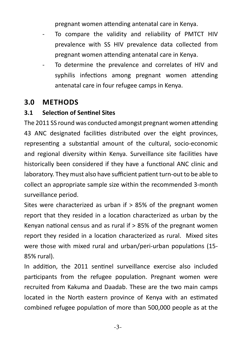pregnant women attending antenatal care in Kenya.

- To compare the validity and reliability of PMTCT HIV prevalence with SS HIV prevalence data collected from pregnant women attending antenatal care in Kenya.
- To determine the prevalence and correlates of HIV and syphilis infections among pregnant women attending antenatal care in four refugee camps in Kenya.

# **3.0 METHODS**

#### **3.1 Selection of Sentinel Sites**

The 2011 SS round was conducted amongst pregnant women attending 43 ANC designated facilities distributed over the eight provinces, representing a substantial amount of the cultural, socio-economic and regional diversity within Kenya. Surveillance site facilities have historically been considered if they have a functional ANC clinic and laboratory. They must also have sufficient patient turn-out to be able to collect an appropriate sample size within the recommended 3-month surveillance period.

Sites were characterized as urban if > 85% of the pregnant women report that they resided in a location characterized as urban by the Kenyan national census and as rural if  $> 85\%$  of the pregnant women report they resided in a location characterized as rural. Mixed sites were those with mixed rural and urban/peri-urban populations (15- 85% rural).

In addition, the 2011 sentinel surveillance exercise also included participants from the refugee population. Pregnant women were recruited from Kakuma and Daadab. These are the two main camps located in the North eastern province of Kenya with an estimated combined refugee population of more than 500,000 people as at the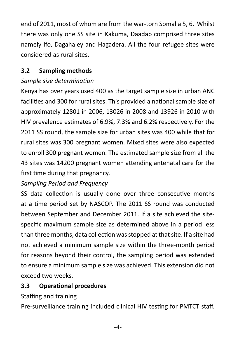end of 2011, most of whom are from the war-torn Somalia 5, 6. Whilst there was only one SS site in Kakuma, Daadab comprised three sites namely Ifo, Dagahaley and Hagadera. All the four refugee sites were considered as rural sites.

#### **3.2 Sampling methods**

#### *Sample size determination*

Kenya has over years used 400 as the target sample size in urban ANC facilities and 300 for rural sites. This provided a national sample size of approximately 12801 in 2006, 13026 in 2008 and 13926 in 2010 with HIV prevalence estimates of 6.9%, 7.3% and 6.2% respectively. For the 2011 SS round, the sample size for urban sites was 400 while that for rural sites was 300 pregnant women. Mixed sites were also expected to enroll 300 pregnant women. The estimated sample size from all the 43 sites was 14200 pregnant women attending antenatal care for the first time during that pregnancy.

#### *Sampling Period and Frequency*

SS data collection is usually done over three consecutive months at a time period set by NASCOP. The 2011 SS round was conducted between September and December 2011. If a site achieved the sitespecific maximum sample size as determined above in a period less than three months, data collection was stopped at that site. If a site had not achieved a minimum sample size within the three-month period for reasons beyond their control, the sampling period was extended to ensure a minimum sample size was achieved. This extension did not exceed two weeks.

#### **3.3 Operational procedures**

#### Staffing and training

Pre-surveillance training included clinical HIV testing for PMTCT staff.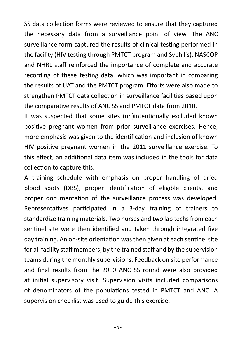SS data collection forms were reviewed to ensure that they captured the necessary data from a surveillance point of view. The ANC surveillance form captured the results of clinical testing performed in the facility (HIV testing through PMTCT program and Syphilis). NASCOP and NHRL staff reinforced the importance of complete and accurate recording of these testing data, which was important in comparing the results of UAT and the PMTCT program. Efforts were also made to strengthen PMTCT data collection in surveillance facilities based upon the comparative results of ANC SS and PMTCT data from 2010.

It was suspected that some sites (un)intentionally excluded known positive pregnant women from prior surveillance exercises. Hence, more emphasis was given to the identification and inclusion of known HIV positive pregnant women in the 2011 surveillance exercise. To this effect, an additional data item was included in the tools for data collection to capture this.

A training schedule with emphasis on proper handling of dried blood spots (DBS), proper identification of eligible clients, and proper documentation of the surveillance process was developed. Representatives participated in a 3-day training of trainers to standardize training materials. Two nurses and two lab techs from each sentinel site were then identified and taken through integrated five day training. An on-site orientation was then given at each sentinel site for all facility staff members, by the trained staff and by the supervision teams during the monthly supervisions. Feedback on site performance and final results from the 2010 ANC SS round were also provided at initial supervisory visit. Supervision visits included comparisons of denominators of the populations tested in PMTCT and ANC. A supervision checklist was used to guide this exercise.

-5-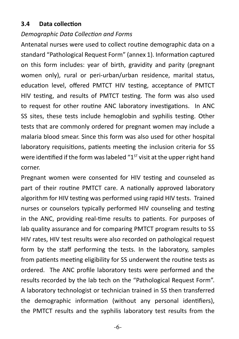#### **3.4 Data collection**

#### *Demographic Data Collection and Forms*

Antenatal nurses were used to collect routine demographic data on a standard "Pathological Request Form" (annex 1). Information captured on this form includes: year of birth, gravidity and parity (pregnant women only), rural or peri-urban/urban residence, marital status, education level, offered PMTCT HIV testing, acceptance of PMTCT HIV testing, and results of PMTCT testing. The form was also used to request for other routine ANC laboratory investigations. In ANC SS sites, these tests include hemoglobin and syphilis testing. Other tests that are commonly ordered for pregnant women may include a malaria blood smear. Since this form was also used for other hospital laboratory requisitions, patients meeting the inclusion criteria for SS were identified if the form was labeled " $1<sup>5T</sup>$  visit at the upper right hand corner.

Pregnant women were consented for HIV testing and counseled as part of their routine PMTCT care. A nationally approved laboratory algorithm for HIV testing was performed using rapid HIV tests. Trained nurses or counselors typically performed HIV counseling and testing in the ANC, providing real-time results to patients. For purposes of lab quality assurance and for comparing PMTCT program results to SS HIV rates, HIV test results were also recorded on pathological request form by the staff performing the tests. In the laboratory, samples from patients meeting eligibility for SS underwent the routine tests as ordered. The ANC profile laboratory tests were performed and the results recorded by the lab tech on the "Pathological Request Form". A laboratory technologist or technician trained in SS then transferred the demographic information (without any personal identifiers), the PMTCT results and the syphilis laboratory test results from the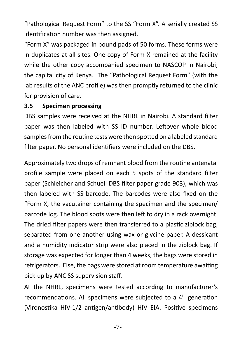"Pathological Request Form" to the SS "Form X". A serially created SS identification number was then assigned.

"Form X" was packaged in bound pads of 50 forms. These forms were in duplicates at all sites. One copy of Form X remained at the facility while the other copy accompanied specimen to NASCOP in Nairobi; the capital city of Kenya. The "Pathological Request Form" (with the lab results of the ANC profile) was then promptly returned to the clinic for provision of care.

#### **3.5 Specimen processing**

DBS samples were received at the NHRL in Nairobi. A standard filter paper was then labeled with SS ID number. Leftover whole blood samples from the routine tests were then spotted on a labeled standard filter paper. No personal identifiers were included on the DBS.

Approximately two drops of remnant blood from the routine antenatal profile sample were placed on each 5 spots of the standard filter paper (Schleicher and Schuell DBS filter paper grade 903), which was then labeled with SS barcode. The barcodes were also fixed on the "Form X, the vacutainer containing the specimen and the specimen/ barcode log. The blood spots were then left to dry in a rack overnight. The dried filter papers were then transferred to a plastic ziplock bag, separated from one another using wax or glycine paper. A dessicant and a humidity indicator strip were also placed in the ziplock bag. If storage was expected for longer than 4 weeks, the bags were stored in refrigerators. Else, the bags were stored at room temperature awaiting pick-up by ANC SS supervision staff.

At the NHRL, specimens were tested according to manufacturer's recommendations. All specimens were subjected to a 4<sup>th</sup> generation (Vironostika HIV-1/2 antigen/antibody) HIV EIA. Positive specimens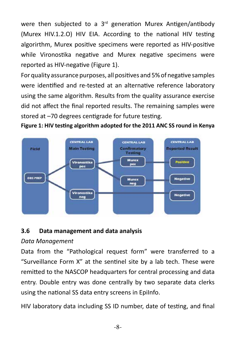were then subjected to a 3<sup>rd</sup> generation Murex Antigen/antibody (Murex HIV.1.2.O) HIV EIA. According to the national HIV testing algorirthm, Murex positive specimens were reported as HIV-positive while Vironostika negative and Murex negative specimens were reported as HIV-negative (Figure 1).

For quality assurance purposes, all positives and 5% of negative samples were identified and re-tested at an alternative reference laboratory using the same algorithm. Results from the quality assurance exercise did not affect the final reported results. The remaining samples were stored at –70 degrees centigrade for future testing.

#### **Figure 1: HIV testing algorithm adopted for the 2011 ANC SS round in Kenya**



#### **3.6 Data management and data analysis**

#### *Data Management*

Data from the "Pathological request form" were transferred to a "Surveillance Form X" at the sentinel site by a lab tech. These were remitted to the NASCOP headquarters for central processing and data entry. Double entry was done centrally by two separate data clerks using the national SS data entry screens in EpiInfo.

HIV laboratory data including SS ID number, date of testing, and final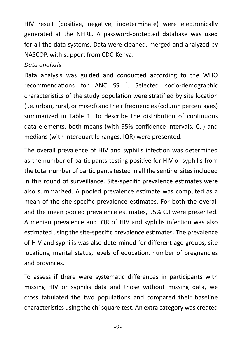HIV result (positive, negative, indeterminate) were electronically generated at the NHRL. A password-protected database was used for all the data systems. Data were cleaned, merged and analyzed by NASCOP, with support from CDC-Kenya.

#### *Data analysis*

Data analysis was guided and conducted according to the WHO recommendations for ANC SS<sup>3</sup>. Selected socio-demographic characteristics of the study population were stratified by site location (i.e. urban, rural, or mixed) and their frequencies (column percentages) summarized in Table 1. To describe the distribution of continuous data elements, both means (with 95% confidence intervals, C.I) and medians (with interquartile ranges, IQR) were presented.

The overall prevalence of HIV and syphilis infection was determined as the number of participants testing positive for HIV or syphilis from the total number of participants tested in all the sentinel sites included in this round of surveillance. Site-specific prevalence estimates were also summarized. A pooled prevalence estimate was computed as a mean of the site-specific prevalence estimates. For both the overall and the mean pooled prevalence estimates, 95% C.I were presented. A median prevalence and IQR of HIV and syphilis infection was also estimated using the site-specific prevalence estimates. The prevalence of HIV and syphilis was also determined for different age groups, site locations, marital status, levels of education, number of pregnancies and provinces.

To assess if there were systematic differences in participants with missing HIV or syphilis data and those without missing data, we cross tabulated the two populations and compared their baseline characteristics using the chi square test. An extra category was created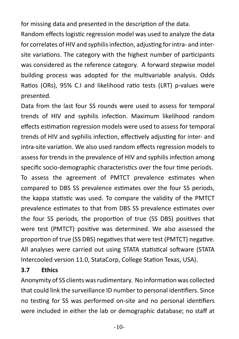for missing data and presented in the description of the data.

Random effects logistic regression model was used to analyze the data for correlates of HIV and syphilis infection, adjusting for intra- and intersite variations. The category with the highest number of participants was considered as the reference category. A forward stepwise model building process was adopted for the multivariable analysis. Odds Ratios (ORs), 95% C.I and likelihood ratio tests (LRT) p-values were presented.

Data from the last four SS rounds were used to assess for temporal trends of HIV and syphilis infection. Maximum likelihood random effects estimation regression models were used to assess for temporal trends of HIV and syphilis infection, effectively adjusting for inter- and intra-site variation. We also used random effects regression models to assess for trends in the prevalence of HIV and syphilis infection among specific socio-demographic characteristics over the four time periods. To assess the agreement of PMTCT prevalence estimates when compared to DBS SS prevalence estimates over the four SS periods, the kappa statistic was used. To compare the validity of the PMTCT prevalence estimates to that from DBS SS prevalence estimates over the four SS periods, the proportion of true (SS DBS) positives that were test (PMTCT) positive was determined. We also assessed the proportion of true (SS DBS) negatives that were test (PMTCT) negative. All analyses were carried out using STATA statistical software (STATA Intercooled version 11.0, StataCorp, College Station Texas, USA).

#### **3.7 Ethics**

Anonymity of SS clients was rudimentary. No information was collected that could link the surveillance ID number to personal identifiers. Since no testing for SS was performed on-site and no personal identifiers were included in either the lab or demographic database; no staff at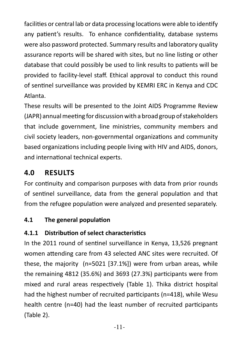facilities or central lab or data processing locations were able to identify any patient's results. To enhance confidentiality, database systems were also password protected. Summary results and laboratory quality assurance reports will be shared with sites, but no line listing or other database that could possibly be used to link results to patients will be provided to facility-level staff. Ethical approval to conduct this round of sentinel surveillance was provided by KEMRI ERC in Kenya and CDC Atlanta.

These results will be presented to the Joint AIDS Programme Review (JAPR) annual meeting for discussion with a broad group of stakeholders that include government, line ministries, community members and civil society leaders, non-governmental organizations and community based organizations including people living with HIV and AIDS, donors, and international technical experts.

# **4.0 RESULTS**

For continuity and comparison purposes with data from prior rounds of sentinel surveillance, data from the general population and that from the refugee population were analyzed and presented separately.

# **4.1 The general population**

# **4.1.1 Distribution of select characteristics**

In the 2011 round of sentinel surveillance in Kenya, 13,526 pregnant women attending care from 43 selected ANC sites were recruited. Of these, the majority (n=5021 [37.1%]) were from urban areas, while the remaining 4812 (35.6%) and 3693 (27.3%) participants were from mixed and rural areas respectively (Table 1). Thika district hospital had the highest number of recruited participants (n=418), while Wesu health centre (n=40) had the least number of recruited participants (Table 2).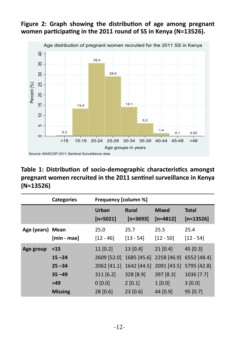



**Table 1: Distribution of socio-demographic characteristics amongst pregnant women recruited in the 2011 sentinel surveillance in Kenya (N=13526)**

|                  | <b>Categories</b>                                                      | Frequency [column %]                                                        |                                                                          |                                                                           |                                                                            |
|------------------|------------------------------------------------------------------------|-----------------------------------------------------------------------------|--------------------------------------------------------------------------|---------------------------------------------------------------------------|----------------------------------------------------------------------------|
|                  |                                                                        | Urban<br>$[n=5021]$                                                         | <b>Rural</b><br>$[n=3693]$                                               | <b>Mixed</b><br>$[n=4812]$                                                | <b>Total</b><br>$[n=13526]$                                                |
| Age (years) Mean | $[min - max]$                                                          | 25.0<br>$[12 - 46]$                                                         | 25.7<br>$[13 - 54]$                                                      | 25.5<br>$[12 - 50]$                                                       | 25.4<br>$[12 - 54]$                                                        |
| Age group        | $15$<br>$15 - 24$<br>$25 - 34$<br>$35 - 49$<br>$>49$<br><b>Missing</b> | $11$ [0.2]<br>2609 [52.0]<br>2062 [41.1]<br>311 [6.2]<br>0[0.0]<br>28 [0.6] | 13 [0.4]<br>1685 [45.6]<br>1642 [44.5]<br>328 [8.9]<br>2[0.1]<br>23[0.6] | 21 [0.4]<br>2258 [46.9]<br>2091 [43.5]<br>397 [8.3]<br>1[0.0]<br>44 [0.9] | 45 [0.3]<br>6552 [48.4]<br>5795 [42.8]<br>1036 [7.7]<br>3[0.0]<br>95 [0.7] |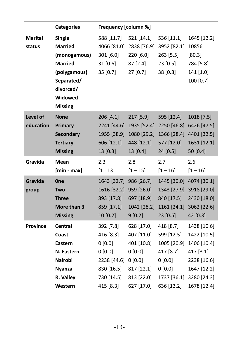|                          | <b>Categories</b>                                                                                                                         | Frequency [column %]                                                                  |                                                                                        |                                                                                        |                                                                                                     |
|--------------------------|-------------------------------------------------------------------------------------------------------------------------------------------|---------------------------------------------------------------------------------------|----------------------------------------------------------------------------------------|----------------------------------------------------------------------------------------|-----------------------------------------------------------------------------------------------------|
| <b>Marital</b><br>status | <b>Single</b><br><b>Married</b><br>(monogamous)<br><b>Married</b><br>(polygamous)<br>Separated/<br>divorced/<br>Widowed<br><b>Missing</b> | 588 [11.7]<br>4066 [81.0]<br>301 [6.0]<br>31 [0.6]<br>35 [0.7]                        | 521 [14.1]<br>2838 [76.9]<br>220 [6.0]<br>87 [2.4]<br>27 [0.7]                         | 536 [11.1]<br>3952 [82.1]<br>263 [5.5]<br>23 [0.5]<br>38 [0.8]                         | 1645 [12.2]<br>10856<br>[80.3]<br>784 [5.8]<br>141 [1.0]<br>100 [0.7]                               |
| Level of<br>education    | <b>None</b><br>Primary<br><b>Secondary</b><br><b>Tertiary</b><br><b>Missing</b>                                                           | 206 [4.1]<br>2241 [44.6]<br>1955 [38.9]<br>606 [12.1]<br>13 [0.3]                     | 217 [5.9]<br>1935 [52.4]<br>1080 [29.2]<br>448 [12.1]<br>13 [0.4]                      | 595 [12.4]<br>2250 [46.8]<br>1366 [28.4]<br>577 [12.0]<br>24 [0.5]                     | 1018 [7.5]<br>6426 [47.5]<br>4401 [32.5]<br>1631 [12.1]<br>50 [0.4]                                 |
| Gravida                  | <b>Mean</b><br>$[min - max]$                                                                                                              | 2.3<br>$[1 - 13]$                                                                     | 2.8<br>$[1 - 15]$                                                                      | 2.7<br>$[1 - 16]$                                                                      | 2.6<br>$[1 - 16]$                                                                                   |
| Gravida<br>group         | <b>One</b><br>Two<br><b>Three</b><br>More than 3<br><b>Missing</b>                                                                        | 1643 [32.7]<br>1616 [32.2]<br>893 [17.8]<br>859 [17.1]<br>10 [0.2]                    | 986 [26.7]<br>959 [26.0]<br>697 [18.9]<br>1042 [28.2]<br>9[0.2]                        | 1445 [30.0]<br>1343 [27.9]<br>840 [17.5]<br>1161 [24.1]<br>23 [0.5]                    | 4074 [30.1]<br>3918 [29.0]<br>2430 [18.0]<br>3062 [22.6]<br>42 [0.3]                                |
| <b>Province</b>          | Central<br>Coast<br>Eastern<br>N. Eastern<br>Nairobi<br><b>Nyanza</b><br>R. Valley                                                        | 392 [7.8]<br>416 [8.3]<br>0[0.0]<br>0[0.0]<br>2238 [44.6]<br>830 [16.5]<br>730 [14.5] | 628 [17.0]<br>407 [11.0]<br>401 [10.8]<br>0[0.0]<br>0[0.0]<br>817 [22.1]<br>813 [22.0] | 418 [8.7]<br>599 [12.5]<br>1005 [20.9]<br>417 [8.7]<br>0[0.0]<br>0[0.0]<br>1737 [36.1] | 1438 [10.6]<br>1422 [10.5]<br>1406 [10.4]<br>417 [3.1]<br>2238 [16.6]<br>1647 [12.2]<br>3280 [24.3] |
|                          | Western                                                                                                                                   | 415 [8.3]                                                                             | 627 [17.0]                                                                             | 636 [13.2]                                                                             | 1678 [12.4]                                                                                         |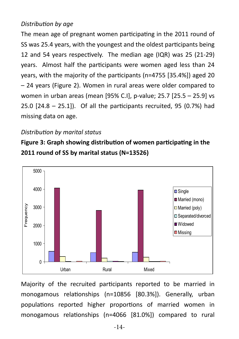#### *Distribution by age*

The mean age of pregnant women participating in the 2011 round of SS was 25.4 years, with the youngest and the oldest participants being 12 and 54 years respectively. The median age (IQR) was 25 (21-29) years. Almost half the participants were women aged less than 24 years, with the majority of the participants (n=4755 [35.4%]) aged 20 – 24 years (Figure 2). Women in rural areas were older compared to women in urban areas (mean [95% C.I], p-value; 25.7 [25.5 – 25.9] vs 25.0 [24.8 – 25.1]). Of all the participants recruited, 95 (0.7%) had missing data on age.

#### *Distribution by marital status*

**Figure 3: Graph showing distribution of women participating in the 2011 round of SS by marital status (N=13526)**



Majority of the recruited participants reported to be married in monogamous relationships (n=10856 [80.3%]). Generally, urban populations reported higher proportions of married women in monogamous relationships (n=4066 [81.0%]) compared to rural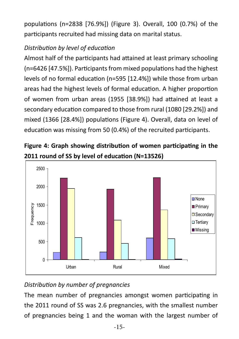populations (n=2838 [76.9%]) (Figure 3). Overall, 100 (0.7%) of the participants recruited had missing data on marital status.

# *Distribution by level of education*

Almost half of the participants had attained at least primary schooling (n=6426 [47.5%]). Participants from mixed populations had the highest levels of no formal education (n=595 [12.4%]) while those from urban areas had the highest levels of formal education. A higher proportion of women from urban areas (1955 [38.9%]) had attained at least a secondary education compared to those from rural (1080 [29.2%]) and mixed (1366 [28.4%]) populations (Figure 4). Overall, data on level of education was missing from 50 (0.4%) of the recruited participants.





# *Distribution by number of pregnancies*

The mean number of pregnancies amongst women participating in the 2011 round of SS was 2.6 pregnancies, with the smallest number of pregnancies being 1 and the woman with the largest number of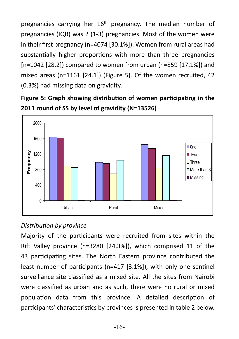pregnancies carrying her 16<sup>th</sup> pregnancy. The median number of pregnancies (IQR) was 2 (1-3) pregnancies. Most of the women were in their first pregnancy (n=4074 [30.1%]). Women from rural areas had substantially higher proportions with more than three pregnancies [n=1042 [28.2]) compared to women from urban (n=859 [17.1%]) and mixed areas (n=1161 [24.1]) (Figure 5). Of the women recruited, 42 (0.3%) had missing data on gravidity.





#### *Distribution by province*

Majority of the participants were recruited from sites within the Rift Valley province (n=3280 [24.3%]), which comprised 11 of the 43 participating sites. The North Eastern province contributed the least number of participants (n=417 [3.1%]), with only one sentinel surveillance site classified as a mixed site. All the sites from Nairobi were classified as urban and as such, there were no rural or mixed population data from this province. A detailed description of participants' characteristics by provinces is presented in table 2 below.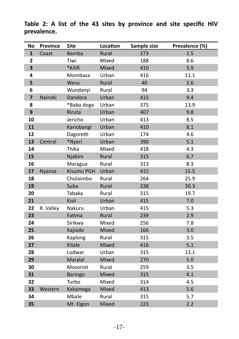**No Province Site Location Sample size Prevalence (%)** Coast Bamba Rural 273 1.5 **188** Tiwi Mixed 188 8.6 **\***Kilifi Mixed 410 3.9 **Mombasa** Urban 416 11.1 Wesu Rural 40 2.6 Wundanyi Rural 94 3.3 Nairobi Dandora Urban 415 9.4 \*Baba dogo Urban 375 13.9 Riruta Urban 407 9.8 Jericho Urban 413 8.5 Kariobangi Urban 410 8.1 Dagoretti Urban 174 4.6 Central \*Nyeri Urban 390 5.1 Thika Mixed 418 4.3 Njabini Rural 315 6.7 Maragua Rural 313 8.3 Nyanza Kisumu PGH Urban 415 415 15.5 Chulaimbo Rural 264 25.9 Suba Rural 238 30.3 Tabaka Rural 315 19.7 Kisii Urban 415 7.0 R. Valley Nakuru Urban 415 5.3 Fatima Rural 239 2.9 Sirikwa Mixed 256 7.8 Kajiado Mixed 166 3.0 Kaplong Rural 315 3.5 Kitale Mixed 416 5.1 **Lodwar** Urban 315 13.1 Maralal Mixed 270 5.0 Mosoriot Rural 259 3.5 **Baringo Mixed 315 4.1**  Turbo Mixed 314 4.5 Western Kakamega Mixed 413 5.6 Mbale Rural 315 5.7 Mt. Elgon Mixed 223 2.2

**Table 2: A list of the 43 sites by province and site specific HIV prevalence.**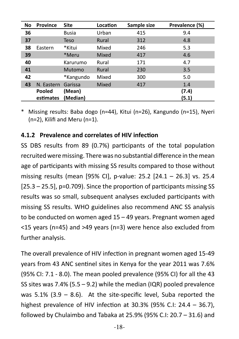| No | <b>Province</b> | <b>Site</b>  | Location | Sample size | Prevalence (%) |
|----|-----------------|--------------|----------|-------------|----------------|
| 36 |                 | <b>Busia</b> | Urban    | 415         | 9.4            |
| 37 |                 | <b>Teso</b>  | Rural    | 312         | 4.8            |
| 38 | Eastern         | *Kitui       | Mixed    | 246         | 5.3            |
| 39 |                 | *Meru        | Mixed    | 417         | 4.6            |
| 40 |                 | Karurumo     | Rural    | 171         | 4.7            |
| 41 |                 | Mutomo       | Rural    | 230         | 3.5            |
| 42 |                 | *Kangundo    | Mixed    | 300         | 5.0            |
| 43 | N. Eastern      | Garissa      | Mixed    | 417         | 1.4            |
|    | Pooled          | (Mean)       |          |             | (7.4)          |
|    | estimates       | (Median)     |          |             | (5.1)          |

Missing results: Baba dogo (n=44), Kitui (n=26), Kangundo (n=15), Nyeri (n=2), Kilifi and Meru (n=1).

#### **4.1.2 Prevalence and correlates of HIV infection**

SS DBS results from 89 (0.7%) participants of the total population recruited were missing. There was no substantial difference in the mean age of participants with missing SS results compared to those without missing results (mean [95% CI], p-value: 25.2 [24.1 – 26.3] vs. 25.4 [25.3 – 25.5], p=0.709). Since the proportion of participants missing SS results was so small, subsequent analyses excluded participants with missing SS results. WHO guidelines also recommend ANC SS analysis to be conducted on women aged 15 – 49 years. Pregnant women aged <15 years (n=45) and >49 years (n=3) were hence also excluded from further analysis.

The overall prevalence of HIV infection in pregnant women aged 15-49 years from 43 ANC sentinel sites in Kenya for the year 2011 was 7.6% (95% CI: 7.1 - 8.0). The mean pooled prevalence (95% CI) for all the 43 SS sites was 7.4% (5.5 – 9.2) while the median (IQR) pooled prevalence was  $5.1\%$  (3.9 – 8.6). At the site-specific level, Suba reported the highest prevalence of HIV infection at 30.3% (95% C.I: 24.4 – 36.7), followed by Chulaimbo and Tabaka at 25.9% (95% C.I: 20.7 – 31.6) and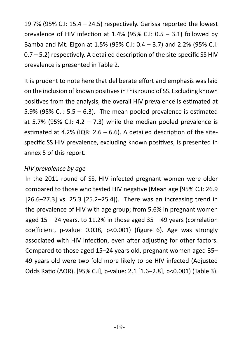19.7% (95% C.I: 15.4 – 24.5) respectively. Garissa reported the lowest prevalence of HIV infection at 1.4% (95% C.I: 0.5 – 3.1) followed by Bamba and Mt. Elgon at 1.5% (95% C.I: 0.4 – 3.7) and 2.2% (95% C.I: 0.7 – 5.2) respectively. A detailed description of the site-specific SS HIV prevalence is presented in Table 2.

It is prudent to note here that deliberate effort and emphasis was laid on the inclusion of known positives in this round of SS. Excluding known positives from the analysis, the overall HIV prevalence is estimated at 5.9% (95% C.I:  $5.5 - 6.3$ ). The mean pooled prevalence is estimated at 5.7% (95% C.I: 4.2 – 7.3) while the median pooled prevalence is estimated at 4.2% (IQR:  $2.6 - 6.6$ ). A detailed description of the sitespecific SS HIV prevalence, excluding known positives, is presented in annex 5 of this report.

#### *HIV prevalence by age*

In the 2011 round of SS, HIV infected pregnant women were older compared to those who tested HIV negative (Mean age [95% C.I: 26.9 [26.6–27.3] vs. 25.3 [25.2–25.4]). There was an increasing trend in the prevalence of HIV with age group; from 5.6% in pregnant women aged  $15 - 24$  years, to 11.2% in those aged  $35 - 49$  years (correlation coefficient, p-value: 0.038, p<0.001) (figure 6). Age was strongly associated with HIV infection, even after adjusting for other factors. Compared to those aged 15–24 years old, pregnant women aged 35– 49 years old were two fold more likely to be HIV infected (Adjusted Odds Ratio (AOR), [95% C.I], p-value: 2.1 [1.6–2.8], p<0.001) (Table 3).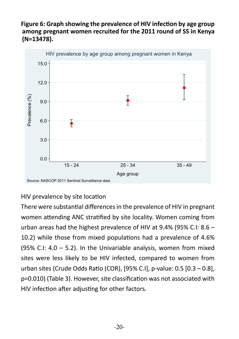#### **Figure 6: Graph showing the prevalence of HIV infection by age group among pregnant women recruited for the 2011 round of SS in Kenya (N=13478).**



#### HIV prevalence by site location

There were substantial differences in the prevalence of HIV in pregnant women attending ANC stratified by site locality. Women coming from urban areas had the highest prevalence of HIV at 9.4% (95% C.I: 8.6 – 10.2) while those from mixed populations had a prevalence of 4.6% (95% C.I:  $4.0 - 5.2$ ). In the Univariable analysis, women from mixed sites were less likely to be HIV infected, compared to women from urban sites (Crude Odds Ratio (COR), [95% C.I], p-value: 0.5 [0.3 – 0.8], p=0.010) (Table 3). However, site classification was not associated with HIV infection after adjusting for other factors.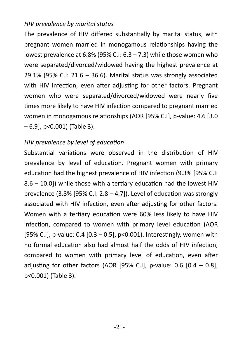#### *HIV prevalence by marital status*

The prevalence of HIV differed substantially by marital status, with pregnant women married in monogamous relationships having the lowest prevalence at 6.8% (95% C.I: 6.3 – 7.3) while those women who were separated/divorced/widowed having the highest prevalence at 29.1% (95% C.I: 21.6 – 36.6). Marital status was strongly associated with HIV infection, even after adjusting for other factors. Pregnant women who were separated/divorced/widowed were nearly five times more likely to have HIV infection compared to pregnant married women in monogamous relationships (AOR [95% C.I], p-value: 4.6 [3.0 – 6.9], p<0.001) (Table 3).

#### *HIV prevalence by level of education*

Substantial variations were observed in the distribution of HIV prevalence by level of education. Pregnant women with primary education had the highest prevalence of HIV infection (9.3% [95% C.I: 8.6 – 10.0]) while those with a tertiary education had the lowest HIV prevalence (3.8% [95% C.I:  $2.8 - 4.7$ ]). Level of education was strongly associated with HIV infection, even after adjusting for other factors. Women with a tertiary education were 60% less likely to have HIV infection, compared to women with primary level education (AOR [95% C.I], p-value: 0.4 [0.3 – 0.5], p<0.001). Interestingly, women with no formal education also had almost half the odds of HIV infection, compared to women with primary level of education, even after adjusting for other factors (AOR [95% C.I], p-value:  $0.6$  [0.4 – 0.8], p<0.001) (Table 3).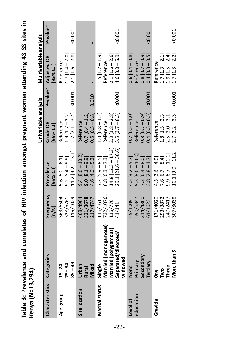| Kenya (N=13,294).      |                                                                                          |                                              |                                                                                       |                                                                              |       |                                                                                |          |
|------------------------|------------------------------------------------------------------------------------------|----------------------------------------------|---------------------------------------------------------------------------------------|------------------------------------------------------------------------------|-------|--------------------------------------------------------------------------------|----------|
|                        |                                                                                          |                                              |                                                                                       | Univariable analysis                                                         |       | Multivariable analysis                                                         |          |
| <b>Characteristics</b> | Categories                                                                               | Frequency<br>$\lbrack n/N \rbrack$           | Prevalence<br>[95% C.I]                                                               | Crude OR<br>[95% C.I]                                                        |       | P-value* Adjusted OR<br>[95% C.I]                                              | P-value* |
| Age group              | $35 - 49$<br>$25 - 34$<br>$15 - 24$                                                      | 363/6504<br>15/1029<br>528/5761              | $11.2$ [9.2 – 13.1]<br>$9.2 [8.4 - 9.9]$<br>$5.6$ [ $5.0 - 6.1$ ]                     | $2.7$ $[2.1 - 3.4]$<br>$1.9$ [1.7 – 2.2]<br>Reference                        | 0.001 | $2.1$ [1.6 – 2.8]<br>$1.7$ $[1.4 - 2.0]$<br>Reference                          | 0.001    |
| Site location          | Mixed<br><b>Urban</b><br><b>Rural</b>                                                    | 331/3678<br>217/4747<br>468/4964             | $9.4 [8.6 - 10.2]$<br>$9.0 [8.1 - 9.9]$<br>$4.6$ [ $4.0 - 5.2$ ]                      | $0.5$ [0.3 $-0.8$ ]<br>$0.7$ [0.4 – 1.2]<br>Reference                        | 0.010 |                                                                                |          |
| <b>Marital status</b>  | Married (monogamous)<br>Married (polygamous)<br>Separated/divorced/<br>widowed<br>Single | 732/10761<br>116/1611<br>15/776<br>41/141    | $14.8$ [12.3 – 17.3]<br>29.1 [21.6 - 36.6]<br>$7.2$ [5.9 – 8.5]<br>$6.8$ [6.3 – 7.3]  | $2.3$ [1.8 – 2.8]<br>5.5 [3.7 – 8.3]<br>$1.0$ [0.8 – 1.2]<br>Reference       | 0.001 | $1.5$ $[1.2 - 1.9]$<br>$4.6 [3.0 - 6.9]$<br>$2.1$ [1.6 – 2.6]<br>Reference     | $-0.001$ |
| education<br>Level of  | Secondary<br>Primary<br>Tertiary<br>None                                                 | 590/6347<br>314/4360<br>61/1623<br>15/1009   | $9.3 [8.6 - 10.0]$<br>$3.8$ [ $2.8 - 4.7$ ]<br>$7.2$ [6.4 - 8.0]<br>$4.5$ [3.2 – 5.7] | $0.8$ [0.7 - 0.9]<br>0.4 [0.3 - 0.5]<br>$0.7$ [0.5 – 1.0]<br>Reference       | 0.001 | $0.6 [0.4 - 0.8]$<br>$0.4$ [0.3 – 0.5]<br>$0.8$ [0.7 – 0.9]<br>Reference       | 0.001    |
| Gravida                | More than 3<br>Three<br><b>D</b><br>క్                                                   | 171/4020<br>240/2417<br>807/3038<br>293/3872 | $10.1$ [9.0 - 11.2]<br>$9.9 [8.7 - 11.1]$<br>$4.3$ [3.6 – 4.9]<br>$7.6$ [6.7 - 8.4]   | $2.7$ $[2.2 - 3.3]$<br>$1.8 [1.5 - 2.3]$<br>$2.5$ $[2.0 - 3.1]$<br>Reference | 0.001 | $1.7$ $[1.3 - 2.2]$<br>$1.7$ [ $1.3 - 2.1$ ]<br>$1.9$ [1.5 – 2.4]<br>Reference | $-0.001$ |

Table 3: Prevalence and correlates of HIV infection amongst pregnant women attending 43 SS sites in<br>value fulled and **Table 3: Prevalence and correlates of HIV infection amongst pregnant women attending 43 SS sites in**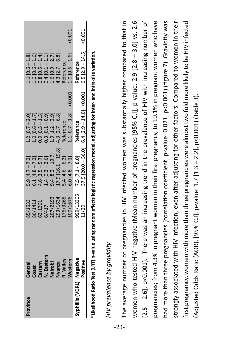|                  | Central<br>Coast<br>Eastern<br>V. Eastern<br>Vairobi |                                                                                |                                                                                                                                       |                                                                                                                                                                                   |       |                                                                                                                                                      |
|------------------|------------------------------------------------------|--------------------------------------------------------------------------------|---------------------------------------------------------------------------------------------------------------------------------------|-----------------------------------------------------------------------------------------------------------------------------------------------------------------------------------|-------|------------------------------------------------------------------------------------------------------------------------------------------------------|
|                  |                                                      |                                                                                |                                                                                                                                       |                                                                                                                                                                                   |       |                                                                                                                                                      |
|                  |                                                      |                                                                                |                                                                                                                                       |                                                                                                                                                                                   |       |                                                                                                                                                      |
|                  | Vyanza<br>R. Valley<br>Nestern                       |                                                                                |                                                                                                                                       |                                                                                                                                                                                   |       |                                                                                                                                                      |
|                  |                                                      | 85/1533<br>86/1411<br>36/1417<br>301/1192<br>203/1634<br>203/1634<br>100/16765 | 5.9 [4.7 – 7.2]<br>6.1 [4.8 – 7.3]<br>4.6 [3.5 – 5.7]<br>1.4 [0.3 – 2.6]<br>9.4 [8.2 – 10.7]<br>17.9 [16.1 – 19.8]<br>5.4 [4.6 – 6.2] | 1.2 $[0.7 - 2.0]$<br>1.0 $[0.6 - 1.7]$<br>0.9 $[0.5 - 1.5]$<br>0.9 $[0.1 - 0.9]$<br>0.3 $[0.1 - 0.9]$<br>1.9 $[1.2 - 2.9]$<br>4.3 $[2.7 - 6.8]$<br>Reference<br>1.1 $[0.7 - 1.8]$ | 0.001 | 1.1 $[0.6 - 1.8]$<br>1.0 $[0.6 - 1.6]$<br>1.0 $[0.5 - 1.4]$<br>0.8 $[0.1 - 1.1]$<br>1.0 $[0.9 - 2.7]$<br>4.3 $[2.7 - 6.8]$<br>Reference<br>Reference |
| Syphillis (VDRL) | Negative                                             | 99/13305                                                                       | 7.5 $\begin{bmatrix} 7.1 & -8.0 \end{bmatrix}$ (20.0 – 56.0)                                                                          | eference                                                                                                                                                                          |       | eference                                                                                                                                             |
|                  | ositive                                              | 1/29                                                                           |                                                                                                                                       | $6.4$ [2.9 - 14.0] < 0.001                                                                                                                                                        |       | $5.5 [2.9 - 14.5]$ < 0.001                                                                                                                           |

\*Likelihood Ratio Test (LRT) p-value using random effects logistic regression model, adjusting for inter- and intra-site variation. **\*Likelihood Ratio Test (LRT) p-value using random effects logistic regression model, adjusting for inter- and intra-site variation.** 

# HIV prevalence by gravidity *HIV prevalence by gravidity*

The average number of pregnancies in HIV infected women was substantially higher compared to that in The average number of pregnancies in HIV infected women was substantially higher compared to that in women who tested HIV negative (Mean number of pregnancies [95% C.I], p-value: 2.9 [2.8 - 3.0] vs. 2.6 women who tested HIV negative (Mean number of pregnancies [95% C.I], p-value: 2.9 [2.8 – 3.0] vs. 2.6 [2.5 - 2.6], p<0.001). There was an increasing trend in the prevalence of HIV with increasing number of [2.5 – 2.6], p<0.001). There was an increasing trend in the prevalence of HIV with increasing number of pregnancies; from 4.3% in pregnant women in their first pregnancy, to 10.1% in pregnant women who have pregnancies; from 4.3% in pregnant women in their first pregnancy, to 10.1% in pregnant women who have had more than three pregnancies (correlation coefficient, p-value: 0.021, p<0.001) (figure 7). Gravidity was had more than three pregnancies (correlation coefficient, p-value: 0.021, p<0.001) (figure 7). Gravidity was strongly associated with HIV infection, even after adjusting for other factors. Compared to women in their first pregnancy, women with more than three pregnancies were almost two fold more likely to be HIV infected strongly associated with HIV infection, even after adjusting for other factors. Compared to women in their first pregnancy, women with more than three pregnancies were almost two fold more likely to be HIV infected (Adjusted Odds Ratio (AOR), [95% C.1], p-value: 1.7 [1.3 – 2.2], p<0.001) (Table 3). (Adjusted Odds Ratio (AOR), [95% C.I], p-value: 1.7 [1.3 – 2.2], p<0.001) (Table 3).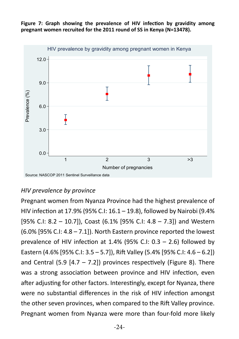



#### *HIV prevalence by province*

Pregnant women from Nyanza Province had the highest prevalence of HIV infection at 17.9% (95% C.I: 16.1 – 19.8), followed by Nairobi (9.4% [95% C.I: 8.2 – 10.7]), Coast (6.1% [95% C.I: 4.8 – 7.3]) and Western (6.0% [95% C.I: 4.8 – 7.1]). North Eastern province reported the lowest prevalence of HIV infection at  $1.4\%$  (95% C.I:  $0.3 - 2.6$ ) followed by Eastern (4.6% [95% C.I: 3.5 – 5.7]), Rift Valley (5.4% [95% C.I: 4.6 – 6.2]) and Central (5.9  $[4.7 - 7.2]$ ) provinces respectively (Figure 8). There was a strong association between province and HIV infection, even after adjusting for other factors. Interestingly, except for Nyanza, there were no substantial differences in the risk of HIV infection amongst the other seven provinces, when compared to the Rift Valley province. Pregnant women from Nyanza were more than four-fold more likely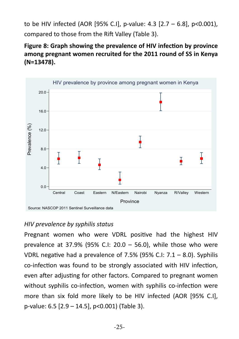to be HIV infected (AOR [95% C.I], p-value: 4.3 [2.7 – 6.8], p<0.001), compared to those from the Rift Valley (Table 3).

**Figure 8: Graph showing the prevalence of HIV infection by province among pregnant women recruited for the 2011 round of SS in Kenya (N=13478).**



#### *HIV prevalence by syphilis status*

Pregnant women who were VDRL positive had the highest HIV prevalence at 37.9% (95% C.I: 20.0 – 56.0), while those who were VDRL negative had a prevalence of 7.5% (95% C.I:  $7.1 - 8.0$ ). Syphilis co-infection was found to be strongly associated with HIV infection, even after adjusting for other factors. Compared to pregnant women without syphilis co-infection, women with syphilis co-infection were more than six fold more likely to be HIV infected (AOR [95% C.I], p-value: 6.5 [2.9 – 14.5], p<0.001) (Table 3).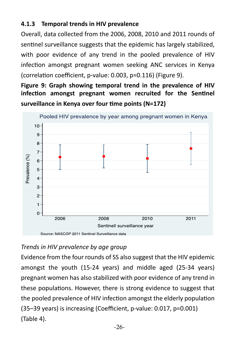#### **4.1.3 Temporal trends in HIV prevalence**

Overall, data collected from the 2006, 2008, 2010 and 2011 rounds of sentinel surveillance suggests that the epidemic has largely stabilized, with poor evidence of any trend in the pooled prevalence of HIV infection amongst pregnant women seeking ANC services in Kenya (correlation coefficient, p-value: 0.003, p=0.116) (Figure 9).

**Figure 9: Graph showing temporal trend in the prevalence of HIV infection amongst pregnant women recruited for the Sentinel surveillance in Kenya over four time points (N=172)**



#### *Trends in HIV prevalence by age group*

Evidence from the four rounds of SS also suggest that the HIV epidemic amongst the youth (15-24 years) and middle aged (25-34 years) pregnant women has also stabilized with poor evidence of any trend in these populations. However, there is strong evidence to suggest that the pooled prevalence of HIV infection amongst the elderly population (35–39 years) is increasing (Coefficient, p-value: 0.017, p=0.001) (Table 4).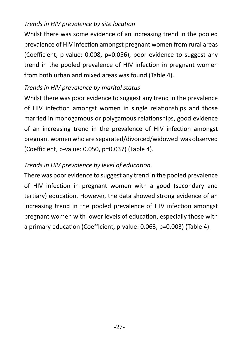#### *Trends in HIV prevalence by site location*

Whilst there was some evidence of an increasing trend in the pooled prevalence of HIV infection amongst pregnant women from rural areas (Coefficient, p-value: 0.008, p=0.056), poor evidence to suggest any trend in the pooled prevalence of HIV infection in pregnant women from both urban and mixed areas was found (Table 4).

#### *Trends in HIV prevalence by marital status*

Whilst there was poor evidence to suggest any trend in the prevalence of HIV infection amongst women in single relationships and those married in monogamous or polygamous relationships, good evidence of an increasing trend in the prevalence of HIV infection amongst pregnant women who are separated/divorced/widowed was observed (Coefficient, p-value: 0.050, p=0.037) (Table 4).

# *Trends in HIV prevalence by level of education.*

There was poor evidence to suggest any trend in the pooled prevalence of HIV infection in pregnant women with a good (secondary and tertiary) education. However, the data showed strong evidence of an increasing trend in the pooled prevalence of HIV infection amongst pregnant women with lower levels of education, especially those with a primary education (Coefficient, p-value: 0.063, p=0.003) (Table 4).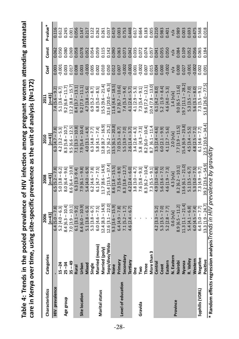**Table 4: Trends in the pooled prevalence of HIV infection among pregnant women attending antenatal**  Table 4: Trends in the pooled prevalence of HIV infection among pregnant women attending antenatal care in Kenya over time, using site-specific prevalence as the unit of analysis (N=172) **care in Kenya over time, using site-specific prevalence as the unit of analysis (N=172)**

| Characteristics    | Categories        | $[n=43]$<br>2006                       | $[n=43]$<br>2008      | $[n=43]$<br>2010      | $[n=43]$<br>2011       | Coef     | Const | P-value <sup>*</sup> |
|--------------------|-------------------|----------------------------------------|-----------------------|-----------------------|------------------------|----------|-------|----------------------|
| HIV prevalence     |                   | $6.4$ [5.0 – 7.8]                      | $6.5$ [5.2 – 7.8]     | $6.3 [4.7 - 7.8]$     | $7.4$ [5.6 – 9.2]      | 0.003    | 0.062 | 0.116                |
|                    | $15 - 24$         | $5.2 [4.0 - 6.3]$                      | $5.0$ [3.8 – 6.2]     | $4.2$ [3.2 – 5.3]     | $5.1$ [3.6 – 6.7]      | $-0.001$ | 0.050 | 0.612                |
| Age group          | $25 - 34$         | $8.4$ [6.3 – 10.4]                     | $8.0 [6.4 - 9.6]$     | $8.3$ [5.8 – 10.7]    | $9.2$ [6.8 - 11.7]     | 0.003    | 0.080 | 0.245                |
|                    | $35 - 49$         | $7.0$ [3.9 – 10.1]                     | $8.6$ [6.4 – 10.8]    | $9.5$ [6.6 – 12.5]    | $12.2$ $[8.8 - 15.7]$  | 0.017    | 0.069 | 0.001                |
|                    | <b>Rural</b>      | $6.1 [3.1 - 9.2]$                      | $6.3$ [3.3 - 9.4]     | $7.1 [3.3 - 10.8]$    | $8.4$ [3.7 – 13.1]     | 0.008    | 0.058 | 0.056                |
| Site location      | <b>Urban</b>      | $8.4 [6.0 - 10.9]$                     | $7.9$ [6.1 – 9.8]     | $7.9$ [5.4 – 10.4]    | $9.2$ [7.3 $-11.1$ ]   | 0.003    | 0.078 | 0.147                |
|                    | Mixed             | $5.1 [3.8 - 6.3]$<br>$5.3 [3.8 - 6.7]$ | $5.4 [4.0 - 6.9]$     | $4.0$ [3.1 – 4.9]     | $4.7$ [3.8 – 5.6]      | $-0.003$ | 0.052 |                      |
|                    | Single            |                                        | $6.2 [4.6 - 7.8]$     | $6.3 [4.8 - 7.7]$     | $6.9$ [5.2 – 8.7]      | 0.005    | 0.054 | 0.217<br>0.122       |
|                    | Married (mono)    | $6.0 [4.6 - 7.5]$                      | $6.1 [4.7 - 7.5]$     | $5.8 [4.1 - 7.4]$     | $6.8$ [5.0 - 8.5]      | 0.002    | 0.059 | 0.262                |
| Marital status     | Married (poly)    | $12.4 [8.3 - 14.9]$                    | $11.7 [8.6 - 14.9]$   | $12.8 [8.7 - 16.9]$   | $15.5$ [9.6 - 21.4]    | 0.010    | 0.115 | 0.261                |
|                    | Sepa/divo/Widc    | $12.6$ $3.1 - 22.0$                    | $25.4$ [13.5 – 37.4   | $15.7$ [6.2 – 25.2]   | $32.6$ $[20.0 - 45.3]$ | 0.050    | 0.142 | 0.037                |
|                    | Vone              | $9.3$ [3.6 – 15.9]                     | $8.6$ [1.8 – 15.5]    | $13.5$ [6.1 – 20.8]   | $11.6 [4.6 - 18.5]$    | 0.012    | 0.090 | 0.419                |
|                    | Primary           | $6.4 [4.9 - 7.8]$                      | $7.3$ [5.6 – 8.9]     | $7.0$ [5.3 – 8.7]     | $8.7$ [6.7 – 10.6]     | 0.007    | 0.063 | 0.003                |
| Level of education | Secondary         | $7.1$ [5.2 – 1.7]                      | $8.3$ [3.8 – 12.7]    | $5.5 [3.9 - 7.0]$     | $7.4$ [5.3 – 9.4]      | $-0.002$ | 0.073 | 0.753                |
|                    | Tertiary          | $4.6$ [ $2.4 - 6.7$ ]                  | $4.2$ [ $2.4 - 6.0$ ] | $2.6$ [1.4 – 3.7]     | $4.1$ [ $2.6 - 5.7$ ]  | $-0.003$ | 0.042 | 0.448                |
|                    | និ<br>ក           |                                        | $3.8$ [3.0 – 4.7]     | $3.4$ [ $2.6 - 4.3$ ] | $4.1$ [2.9 – 5.3]      | 0.001    | 0.035 | 0.617                |
| Gravida            | δ,                |                                        | $7.6$ [5.8 – 9.3]     | $5.8 [4.3 - 7.3]$     | $7.3$ [5.4 – 9.1]      | $-0.002$ | 0.072 | 0.664                |
|                    | Three             |                                        | $8.3$ [6.2 – 10.4]    | $8.2$ [6.0 – 10.4]    | $9.6$ [7.2 – 12.1]     | 0.007    | 0.074 | 0.183                |
|                    | Vlore than 3      |                                        | $7.3$ [5.5 – 9.1]     | $8.7$ [6.1 - 11.4     | $10.4$ [7.8 – 13.0     | 0.015    | 0.057 | 0.005                |
|                    | Central           | $4.2$ [3.3 – 5.2]                      | $4.9$ [3.0 – 6.8]     | $3.5$ [ $2.4 - 4.6$ ] | $6.1 [4.2 - 8.0]$      | 0.004    | 0.041 | 0.210                |
|                    | Coast             | $5.3$ [3.5 – 7.0]                      | $5.6$ [3.6 – 7.5]     | $6.0$ [ $2.1 - 9.9$ ] | 5.2 $[1.9 - 8.4]$      | 0.000    | 0.055 | 0.983                |
|                    | Eastern           | $5.2$ $[2.8 - 7.7]$                    | $4.6$ [1.9 – 7.3]     | $4.1$ [ $2.7 - 5.6$ ] | $4.6 [4.0 - 5.3]$      | $-0.002$ | 0.050 | 0.401                |
| Province           | <b>V.</b> Eastern | $0.6$ [n/a]                            | 4.3 [n/a]             | $2.0$ [n/a]           | $1.4$ [n/a]            | n/a      | n/a   | $n/a$<br>0.989       |
|                    | Nairobi           | $8.9$ [6.5 – 11.2]                     | $8.2$ [6.2 – 10.1]    | $7.7$ [3.9 – 11.5]    | $9.0 [6.5 - 11.6]$     | 0.000    | 0.084 |                      |
|                    | Nyanza            | $11.3$ $[1.1 - 21.4]$                  | $13.6$ [6.1 – 21.0]   | $15.4 [6.9 - 23.8]$   | $19.7$ $[11.1 - 28.2]$ | 0.027    | 0.109 | $0.003$<br>$0.693$   |
|                    | R. Valley         | $5.4 [4.1 - 6.8]$                      | $5.1 [3.5 - 6.7]$     | $4.5$ [3.4 – 5.5]     | $5.3 [3.5 - 7.0]$      | $-0.001$ | 0.052 |                      |
|                    | Western           | $6.0 [4.5 - 7.4]$                      | $5.3 [3.0 - 7.5]$     | $4.8$ [ $2.5 - 7.1$ ] | $5.6$ [3.1 - 8.0]      | $-0.002$ | 0.056 | 0.475                |
| Syphilis (VDRL)    | Negative          | $6.4$ [5.0 – 7.7]                      | $7.3 [4.9 - 9.7]$     | $6.1$ [4.6 – 7.7]     | $7.3$ [5.5 – 9.1]      | 0.002    | 0.065 | 0.568                |
|                    | Positive          | $[3.3 \, [1.9 - 24.7]$                 | $39.2$ [23.6 - 54.9]  | $22.5$ [10.6 - 34.4]  | $51.8$ $[26.0 - 77.5]$ | 0.091    | 0.184 | 0.018                |
|                    |                   |                                        |                       |                       |                        |          |       |                      |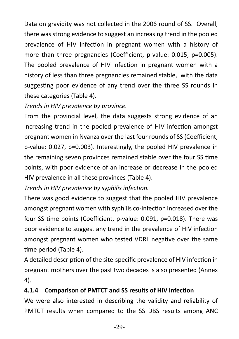Data on gravidity was not collected in the 2006 round of SS. Overall, there was strong evidence to suggest an increasing trend in the pooled prevalence of HIV infection in pregnant women with a history of more than three pregnancies (Coefficient, p-value: 0.015, p=0.005). The pooled prevalence of HIV infection in pregnant women with a history of less than three pregnancies remained stable, with the data suggesting poor evidence of any trend over the three SS rounds in these categories (Table 4).

#### *Trends in HIV prevalence by province.*

From the provincial level, the data suggests strong evidence of an increasing trend in the pooled prevalence of HIV infection amongst pregnant women in Nyanza over the last four rounds of SS (Coefficient, p-value: 0.027, p=0.003). Interestingly, the pooled HIV prevalence in the remaining seven provinces remained stable over the four SS time points, with poor evidence of an increase or decrease in the pooled HIV prevalence in all these provinces (Table 4).

*Trends in HIV prevalence by syphilis infection.*

There was good evidence to suggest that the pooled HIV prevalence amongst pregnant women with syphilis co-infection increased over the four SS time points (Coefficient, p-value: 0.091, p=0.018). There was poor evidence to suggest any trend in the prevalence of HIV infection amongst pregnant women who tested VDRL negative over the same time period (Table 4).

A detailed description of the site-specific prevalence of HIV infection in pregnant mothers over the past two decades is also presented (Annex 4).

#### **4.1.4 Comparison of PMTCT and SS results of HIV infection**

We were also interested in describing the validity and reliability of PMTCT results when compared to the SS DBS results among ANC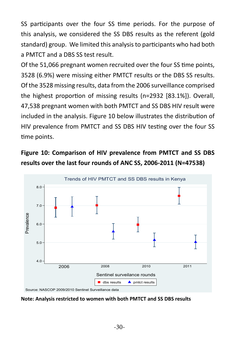SS participants over the four SS time periods. For the purpose of this analysis, we considered the SS DBS results as the referent (gold standard) group. We limited this analysis to participants who had both a PMTCT and a DBS SS test result.

Of the 51,066 pregnant women recruited over the four SS time points, 3528 (6.9%) were missing either PMTCT results or the DBS SS results. Of the 3528 missing results, data from the 2006 surveillance comprised the highest proportion of missing results (n=2932 [83.1%]). Overall, 47,538 pregnant women with both PMTCT and SS DBS HIV result were included in the analysis. Figure 10 below illustrates the distribution of HIV prevalence from PMTCT and SS DBS HIV testing over the four SS time points.

# **Figure 10: Comparison of HIV prevalence from PMTCT and SS DBS results over the last four rounds of ANC SS, 2006-2011 (N=47538)**



**Note: Analysis restricted to women with both PMTCT and SS DBS results**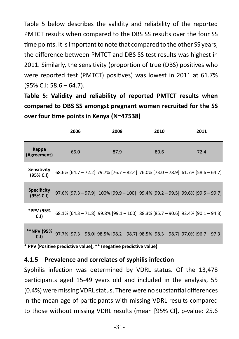Table 5 below describes the validity and reliability of the reported PMTCT results when compared to the DBS SS results over the four SS time points. It is important to note that compared to the other SS years, the difference between PMTCT and DBS SS test results was highest in 2011. Similarly, the sensitivity (proportion of true (DBS) positives who were reported test (PMTCT) positives) was lowest in 2011 at 61.7% (95% C.I: 58.6 – 64.7).

**Table 5: Validity and reliability of reported PMTCT results when compared to DBS SS amongst pregnant women recruited for the SS over four time points in Kenya (N=47538)**

|                                 | 2006 | 2008 | 2010                                                                                        | 2011 |
|---------------------------------|------|------|---------------------------------------------------------------------------------------------|------|
| Kappa<br>(Agreement)            | 66.0 | 87.9 | 80.6                                                                                        | 72.4 |
| Sensitivity<br>(95% C.I)        |      |      | 68.6% [64.7 - 72.2] 79.7% [76.7 - 82.4] 76.0% [73.0 - 78.9] 61.7% [58.6 - 64.7]             |      |
| <b>Specificity</b><br>(95% C.1) |      |      | $97.6\%$ [97.3 – 97.9] $100\%$ [99.9 – 100] $99.4\%$ [99.2 – 99.5] $99.6\%$ [99.5 – 99.7]   |      |
| *PPV (95%<br>C.I                |      |      | 68.1% [64.3 - 71.8] 99.8% [99.1 - 100] 88.3% [85.7 - 90.6] 92.4% [90.1 - 94.3]              |      |
| **NPV (95%<br>C.I)              |      |      | $97.7\%$ [97.3 - 98.0] $98.5\%$ [98.2 - 98.7] $98.5\%$ [98.3 - 98.7] $97.0\%$ [96.7 - 97.3] |      |

**\* PPV (Positive predictive value), \*\* (negative predictive value)**

#### **4.1.5 Prevalence and correlates of syphilis infection**

Syphilis infection was determined by VDRL status. Of the 13,478 participants aged 15-49 years old and included in the analysis, 55 (0.4%) were missing VDRL status. There were no substantial differences in the mean age of participants with missing VDRL results compared to those without missing VDRL results (mean [95% CI], p-value: 25.6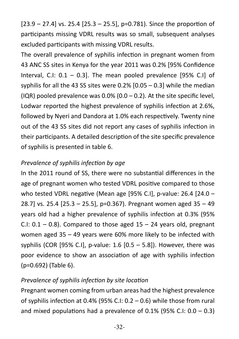$[23.9 - 27.4]$  vs. 25.4  $[25.3 - 25.5]$ , p=0.781). Since the proportion of participants missing VDRL results was so small, subsequent analyses excluded participants with missing VDRL results.

The overall prevalence of syphilis infection in pregnant women from 43 ANC SS sites in Kenya for the year 2011 was 0.2% [95% Confidence Interval, C.I: 0.1 – 0.3]. The mean pooled prevalence [95% C.I] of syphilis for all the 43 SS sites were 0.2% [0.05 – 0.3] while the median (IQR) pooled prevalence was  $0.0\%$  (0.0 – 0.2). At the site specific level, Lodwar reported the highest prevalence of syphilis infection at 2.6%, followed by Nyeri and Dandora at 1.0% each respectively. Twenty nine out of the 43 SS sites did not report any cases of syphilis infection in their participants. A detailed description of the site specific prevalence of syphilis is presented in table 6.

#### *Prevalence of syphilis infection by age*

In the 2011 round of SS, there were no substantial differences in the age of pregnant women who tested VDRL positive compared to those who tested VDRL negative (Mean age [95% C.I], p-value: 26.4 [24.0 – 28.7] vs. 25.4 [25.3 – 25.5], p=0.367). Pregnant women aged 35 – 49 years old had a higher prevalence of syphilis infection at 0.3% (95% C.I:  $0.1 - 0.8$ ). Compared to those aged  $15 - 24$  years old, pregnant women aged 35 – 49 years were 60% more likely to be infected with syphilis (COR [95% C.I], p-value:  $1.6$  [0.5 – 5.8]). However, there was poor evidence to show an association of age with syphilis infection (p=0.692) (Table 6).

#### *Prevalence of syphilis infection by site location*

Pregnant women coming from urban areas had the highest prevalence of syphilis infection at 0.4% (95% C.I: 0.2 – 0.6) while those from rural and mixed populations had a prevalence of 0.1% (95% C.I:  $0.0 - 0.3$ )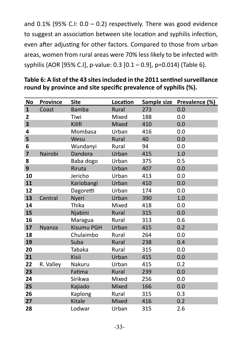and  $0.1\%$  (95% C.I:  $0.0 - 0.2$ ) respectively. There was good evidence to suggest an association between site location and syphilis infection, even after adjusting for other factors. Compared to those from urban areas, women from rural areas were 70% less likely to be infected with syphilis (AOR [95% C.I], p-value: 0.3 [0.1 – 0.9], p=0.014) (Table 6).

| <b>No</b>               | <b>Province</b> | <b>Site</b>       | Location |     | Sample size Prevalence (%) |
|-------------------------|-----------------|-------------------|----------|-----|----------------------------|
| $\mathbf{1}$            | Coast           | <b>Bamba</b>      | Rural    | 273 | 0.0                        |
| 2                       |                 | Tiwi              | Mixed    | 188 | 0.0                        |
| 3                       |                 | Kilifi            | Mixed    | 410 | 0.0                        |
| 4                       |                 | Mombasa           | Urban    | 416 | 0.0                        |
| 5                       |                 | Wesu              | Rural    | 40  | 0.0                        |
| 6                       |                 | Wundanyi          | Rural    | 94  | 0.0                        |
| $\overline{\mathbf{z}}$ | Nairobi         | Dandora           | Urban    | 415 | 1.0                        |
| 8                       |                 | Baba dogo         | Urban    | 375 | 0.5                        |
| 9                       |                 | Riruta            | Urban    | 407 | 0.0                        |
| 10                      |                 | Jericho           | Urban    | 413 | 0.0                        |
| 11                      |                 | Kariobangi        | Urban    | 410 | 0.0                        |
| 12                      |                 | Dagoretti         | Urban    | 174 | 0.0                        |
| 13                      | Central         | Nyeri             | Urban    | 390 | 1.0                        |
| 14                      |                 | Thika             | Mixed    | 418 | 0.0                        |
| 15                      |                 | Njabini           | Rural    | 315 | 0.0                        |
| 16                      |                 | Maragua           | Rural    | 313 | 0.6                        |
| 17                      | <b>Nyanza</b>   | <b>Kisumu PGH</b> | Urban    | 415 | 0.2                        |
| 18                      |                 | Chulaimbo         | Rural    | 264 | 0.0                        |
| 19                      |                 | Suba              | Rural    | 238 | 0.4                        |
| 20                      |                 | Tabaka            | Rural    | 315 | 0.0                        |
| 21                      |                 | Kisii             | Urban    | 415 | 0.0                        |
| 22                      | R. Valley       | Nakuru            | Urban    | 415 | 0.2                        |
| 23                      |                 | Fatima            | Rural    | 239 | 0.0                        |
| 24                      |                 | Sirikwa           | Mixed    | 256 | 0.0                        |
| 25                      |                 | Kajiado           | Mixed    | 166 | 0.0                        |
| 26                      |                 | Kaplong           | Rural    | 315 | 0.3                        |
| 27                      |                 | Kitale            | Mixed    | 416 | 0.2                        |
| 28                      |                 | Lodwar            | Urban    | 315 | 2.6                        |

#### **Table 6: A list of the 43 sites included in the 2011 sentinel surveillance round by province and site specific prevalence of syphilis (%).**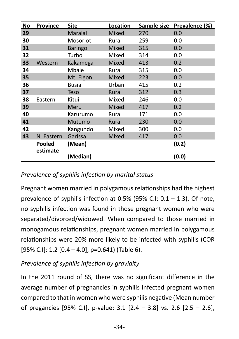| No | <b>Province</b>           | Site           | Location |     | Sample size Prevalence (%) |
|----|---------------------------|----------------|----------|-----|----------------------------|
| 29 |                           | Maralal        | Mixed    | 270 | 0.0                        |
| 30 |                           | Mosoriot       | Rural    | 259 | 0.0                        |
| 31 |                           | <b>Baringo</b> | Mixed    | 315 | 0.0                        |
| 32 |                           | Turbo          | Mixed    | 314 | 0.0                        |
| 33 | Western                   | Kakamega       | Mixed    | 413 | 0.2                        |
| 34 |                           | Mbale          | Rural    | 315 | 0.0                        |
| 35 |                           | Mt. Elgon      | Mixed    | 223 | 0.0                        |
| 36 |                           | <b>Busia</b>   | Urban    | 415 | 0.2                        |
| 37 |                           | <b>Teso</b>    | Rural    | 312 | 0.3                        |
| 38 | Eastern                   | Kitui          | Mixed    | 246 | 0.0                        |
| 39 |                           | Meru           | Mixed    | 417 | 0.2                        |
| 40 |                           | Karurumo       | Rural    | 171 | 0.0                        |
| 41 |                           | Mutomo         | Rural    | 230 | 0.0                        |
| 42 |                           | Kangundo       | Mixed    | 300 | 0.0                        |
| 43 | N. Eastern                | Garissa        | Mixed    | 417 | 0.0                        |
|    | <b>Pooled</b><br>estimate | (Mean)         |          |     | (0.2)                      |
|    |                           | (Median)       |          |     | (0.0)                      |

#### *Prevalence of syphilis infection by marital status*

Pregnant women married in polygamous relationships had the highest prevalence of syphilis infection at 0.5% (95% C.I: 0.1 – 1.3). Of note, no syphilis infection was found in those pregnant women who were separated/divorced/widowed. When compared to those married in monogamous relationships, pregnant women married in polygamous relationships were 20% more likely to be infected with syphilis (COR [95% C.I]: 1.2  $[0.4 - 4.0]$ , p=0.641) (Table 6).

*Prevalence of syphilis infection by gravidity*

In the 2011 round of SS, there was no significant difference in the average number of pregnancies in syphilis infected pregnant women compared to that in women who were syphilis negative (Mean number of pregancies [95% C.I], p-value: 3.1 [2.4 – 3.8] vs. 2.6 [2.5 – 2.6],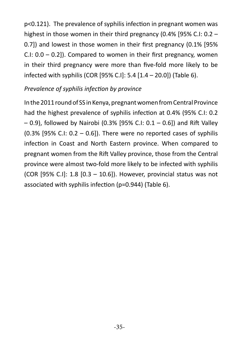p<0.121). The prevalence of syphilis infection in pregnant women was highest in those women in their third pregnancy (0.4% [95% C.I: 0.2 – 0.7]) and lowest in those women in their first pregnancy (0.1% [95% C.I:  $0.0 - 0.2$ ]). Compared to women in their first pregnancy, women in their third pregnancy were more than five-fold more likely to be infected with syphilis (COR [95% C.I]: 5.4 [1.4 – 20.0]) (Table 6).

#### *Prevalence of syphilis infection by province*

In the 2011 round of SS in Kenya, pregnant women from Central Province had the highest prevalence of syphilis infection at 0.4% (95% C.I: 0.2 – 0.9), followed by Nairobi (0.3% [95% C.I: 0.1 – 0.6]) and Rift Valley  $(0.3\%$  [95% C.I: 0.2 – 0.6]). There were no reported cases of syphilis infection in Coast and North Eastern province. When compared to pregnant women from the Rift Valley province, those from the Central province were almost two-fold more likely to be infected with syphilis (COR [95% C.I]: 1.8 [0.3 – 10.6]). However, provincial status was not associated with syphilis infection (p=0.944) (Table 6).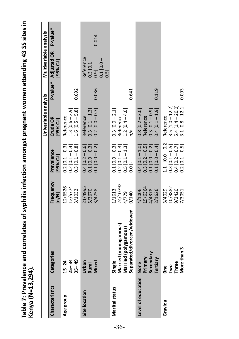| <b>NEWSIAN DATION</b>   |                                                                                      |                                       |                                                                                                                    |                                                                                                      |       |                                                                                                      |       |
|-------------------------|--------------------------------------------------------------------------------------|---------------------------------------|--------------------------------------------------------------------------------------------------------------------|------------------------------------------------------------------------------------------------------|-------|------------------------------------------------------------------------------------------------------|-------|
|                         |                                                                                      |                                       |                                                                                                                    | Univariable analysis                                                                                 |       | Multivariable analysis                                                                               |       |
| <b>Characteristics</b>  | Categories                                                                           | Frequency<br>$\lbrack n/m \rbrack$    | Prevalence<br>[95% C.I]                                                                                            | Crude OR<br>[95% C.I]                                                                                |       | P-value* Adjusted OR P-value*<br>[95% C.I]                                                           |       |
| Age group               | $15-24$<br>$25-34$<br>$35-49$                                                        | 12/6526<br>13/5774<br>3/1032          | $0.2$ [0.1 - 0.3]<br>0.2 [0.1 - 0.4]<br>$0.3$ [0.1 – 0.8]                                                          | Reference<br>1.3 [0.6 – 2.9]<br>1.6 [0.5 – 5.8]                                                      | 0.692 |                                                                                                      |       |
| Site location           | Urban<br>Mixed<br>Rural                                                              | 11/4995<br>5/3670<br>3/4758           | $0.4 [0.2 - 0.6]$<br>0.1 $[0.0 - 0.3]$<br>$0.1$ [0.0 - 0.2]                                                        | $\begin{array}{c} 0.3 \ [0.1 - 1.3] \\ 0.2 \ [0.0 - 0.7] \end{array}$<br>Reference                   | 0.036 | Reference<br>$\begin{bmatrix} 0.3 & 0.1 & - \\ 0.9 & 0.9 & 0 \end{bmatrix}$<br>$0.1$ [0.0 $-$<br>0.5 | 0.014 |
| <b>Marital status</b>   | Separated/divorced/widowed<br>Married (monogamous)<br>Married (polygamous)<br>Single | 1/1613<br>24/10792<br>0/140<br>4/779  | $\begin{array}{l} 0.1 \; [0.0-0.3] \\ 0.2 \; [0.1-0.3] \\ 0.5 \; [0.1-1.3] \\ 0.0 \; [ \cdot ] \end{array}$        | $0.3$ [0.0 - 2.1]<br>$1.2$ [0.4 – 4.0]<br>Reference<br>n/a                                           | 0.641 |                                                                                                      |       |
| Level of education None | Secondary<br>Primary<br>Tertiary                                                     | 4/1006<br>19/6364<br>4/4378<br>2/1626 | $0.1$ [0.0 - 0.4]<br>$\begin{array}{c} 0.4 \; [0.1 - 1.0] \\ 0.3 \; [0.2 - 0.5] \\ 0.1 \; [0.0 - 0.2] \end{array}$ | $0.8$ [ $0.2 - 3.0$ ]<br>Reference<br>$0.4$ [0.1 - 1.9]<br>$0.3$ [0.1 – 0.9]                         | 0.119 |                                                                                                      |       |
| Gravida                 | More than 3<br>Three<br>One<br>Two                                                   | 10/3882<br>9/2420<br>3/4029<br>7/3051 | 1.1 $[0.0 - 0.2]$<br>0.3 $[0.1 - 0.5]$<br>0.4 $[0.2 - 0.7]$<br>0.2 $[0.1 - 0.5]$                                   | $\begin{array}{c} 3.5\; [1.0-12.7] \\ 5.4\; [1.4-20.0] \\ 3.1\; [0.8-12.1] \end{array}$<br>Reference | 0.093 |                                                                                                      |       |

-36-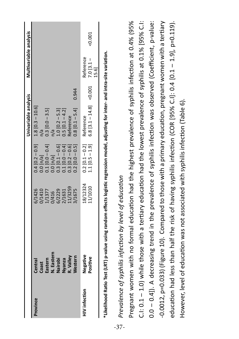|                      |                                                                                           |                                                                             |                                                                                                                                                                         | Univariable analysis                                                                                                  |          | Multivariable analysis           |       |
|----------------------|-------------------------------------------------------------------------------------------|-----------------------------------------------------------------------------|-------------------------------------------------------------------------------------------------------------------------------------------------------------------------|-----------------------------------------------------------------------------------------------------------------------|----------|----------------------------------|-------|
| Province             |                                                                                           |                                                                             |                                                                                                                                                                         | 0.4 $[0.2 - 0.9]$ 1.8 $[0.3 - 10.6]$<br>0.0 $[n/a]$ $n/a$<br>0.1 $[0.0 - 0.4]$ 0.3 $[0.0 - 3.5]$<br>0.0 $[n/a]$ $n/a$ |          |                                  |       |
|                      |                                                                                           |                                                                             |                                                                                                                                                                         |                                                                                                                       |          |                                  |       |
|                      |                                                                                           |                                                                             |                                                                                                                                                                         |                                                                                                                       |          |                                  |       |
|                      | Central<br>Coast<br>Eastern<br>M. Eastern<br>Nairobi<br>Nestern<br>R. Valley<br>R. Valley |                                                                             |                                                                                                                                                                         |                                                                                                                       |          |                                  |       |
|                      |                                                                                           |                                                                             |                                                                                                                                                                         | 1.0 $[0.2 - 5.3]$<br>0.5 $[0.1 - 4.2]$<br>Reference                                                                   |          |                                  |       |
|                      |                                                                                           |                                                                             |                                                                                                                                                                         |                                                                                                                       |          |                                  |       |
|                      |                                                                                           |                                                                             |                                                                                                                                                                         |                                                                                                                       |          |                                  |       |
|                      |                                                                                           | 6/1426<br>0/1410<br>1/1377<br>0/416<br>6/2229<br>2/1631<br>2/1675<br>1/1675 | $\begin{array}{l} 0.0\ [0/3] \\ 0.1\ [0.0-0.4] \\ 0.0\ [0.0-0.5] \\ 0.3\ [0.1-0.6] \\ 0.1\ [0.0-0.4] \\ 0.3\ [0.2-0.6] \\ 0.2\ [0.2-0.5] \\ 0.2\ [0.0-0.5] \end{array}$ | $0.8$ [0.1 – 5.4]                                                                                                     | 0.944    |                                  |       |
| <b>HIV</b> infection | Negative<br>Positive                                                                      | 18/12324<br>11/1010                                                         | $0.2$ [0.1 – 0.2]<br>1.1 [0.5 – 1.9]                                                                                                                                    |                                                                                                                       |          |                                  |       |
|                      |                                                                                           |                                                                             |                                                                                                                                                                         | Reference<br>6.8 [3.1 – 14.8]                                                                                         | $-0.001$ | Reference<br>7.0 [3.1 –<br>15.6] | 0.001 |
|                      |                                                                                           |                                                                             |                                                                                                                                                                         |                                                                                                                       |          |                                  |       |
|                      |                                                                                           |                                                                             |                                                                                                                                                                         |                                                                                                                       |          |                                  |       |

\*Likelihood Ratio Test (LRT) p-value using random effects logistic regression model, adjusting for inter- and intra-site variation. **\*Likelihood Ratio Test (LRT) p-value using random effects logistic regression model, adjusting for inter- and intra-site variation.**

# Prevalence of syphilis infection by level of education *Prevalence of syphilis infection by level of education*

Pregnant women with no formal education had the highest prevalence of syphilis infection at 0.4% (95% C.I: 0.1 - 1.0) while those with a tertiary education had the lowest prevalence of syphilis at 0.1% [95% C.I: C.I: 0.1 – 1.0) while those with a tertiary education had the lowest prevalence of syphilis at 0.1% [95% C.I: 0.0 - 0.4]). A decreasing trend in the prevalence of syphilis infection was observed (Coefficient, p-value: 0.0 – 0.4]). A decreasing trend in the prevalence of syphilis infection was observed (Coefficient, p-value: -0.0012, p=0.033) (Figure 10). Compared to those with a primary education, pregnant women with a tertiary education had less than half the risk of having syphilis infection (COR [95% C.I]: 0.4 [0.1 – 1.9], p=0.119). Pregnant women with no formal education had the highest prevalence of syphilis infection at 0.4% (95% -0.0012, p=0.033) (Figure 10). Compared to those with a primary education, pregnant women with a tertiary education had less than half the risk of having syphilis infection (COR [95% C.I]: 0.4 [0.1 - 1.9], p=0.119). However, level of education was not associated with syphilis infection (Table 6). However, level of education was not associated with syphilis infection (Table 6).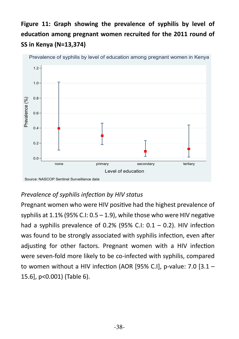# **Figure 11: Graph showing the prevalence of syphilis by level of education among pregnant women recruited for the 2011 round of SS in Kenya (N=13,374)**



#### Prevalence of syphilis by level of education among pregnant women in Kenya

#### *Prevalence of syphilis infection by HIV status*

Pregnant women who were HIV positive had the highest prevalence of syphilis at 1.1% (95% C.I: 0.5 – 1.9), while those who were HIV negative had a syphilis prevalence of 0.2% (95% C.I:  $0.1 - 0.2$ ). HIV infection was found to be strongly associated with syphilis infection, even after adjusting for other factors. Pregnant women with a HIV infection were seven-fold more likely to be co-infected with syphilis, compared to women without a HIV infection (AOR [95% C.I], p-value: 7.0 [3.1 – 15.6], p<0.001) (Table 6).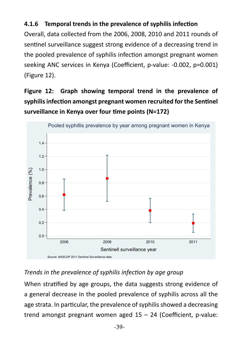#### **4.1.6 Temporal trends in the prevalence of syphilis infection**

Overall, data collected from the 2006, 2008, 2010 and 2011 rounds of sentinel surveillance suggest strong evidence of a decreasing trend in the pooled prevalence of syphilis infection amongst pregnant women seeking ANC services in Kenya (Coefficient, p-value: -0.002, p=0.001) (Figure 12).

**Figure 12: Graph showing temporal trend in the prevalence of syphilis infection amongst pregnant women recruited for the Sentinel surveillance in Kenya over four time points (N=172)**



#### *Trends in the prevalence of syphilis infection by age group*

When stratified by age groups, the data suggests strong evidence of a general decrease in the pooled prevalence of syphilis across all the age strata. In particular, the prevalence of syphilis showed a decreasing trend amongst pregnant women aged 15 – 24 (Coefficient, p-value: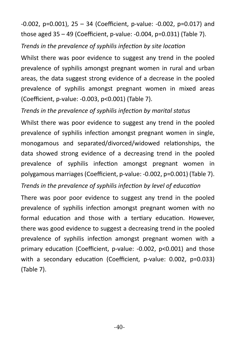-0.002, p=0.001), 25 – 34 (Coefficient, p-value: -0.002, p=0.017) and those aged 35 – 49 (Coefficient, p-value: -0.004, p=0.031) (Table 7).

#### *Trends in the prevalence of syphilis infection by site location*

Whilst there was poor evidence to suggest any trend in the pooled prevalence of syphilis amongst pregnant women in rural and urban areas, the data suggest strong evidence of a decrease in the pooled prevalence of syphilis amongst pregnant women in mixed areas (Coefficient, p-value: -0.003, p<0.001) (Table 7).

#### *Trends in the prevalence of syphilis infection by marital status*

Whilst there was poor evidence to suggest any trend in the pooled prevalence of syphilis infection amongst pregnant women in single, monogamous and separated/divorced/widowed relationships, the data showed strong evidence of a decreasing trend in the pooled prevalence of syphilis infection amongst pregnant women in polygamous marriages (Coefficient, p-value: -0.002, p=0.001) (Table 7).

#### *Trends in the prevalence of syphilis infection by level of education*

There was poor poor evidence to suggest any trend in the pooled prevalence of syphilis infection amongst pregnant women with no formal education and those with a tertiary education. However, there was good evidence to suggest a decreasing trend in the pooled prevalence of syphilis infection amongst pregnant women with a primary education (Coefficient, p-value: -0.002, p<0.001) and those with a secondary education (Coefficient, p-value: 0.002, p=0.033) (Table 7).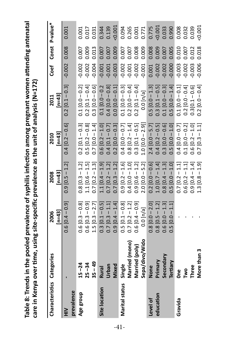| ŗ<br>uhilis infection among pregnant women attending antenar<br>as in the pooled prevalence of sypri- | ~ecific prevalence as the unit of analysis (N=172)<br>らく りょくしょう<br>ver time, using |
|-------------------------------------------------------------------------------------------------------|------------------------------------------------------------------------------------|
|                                                                                                       |                                                                                    |
|                                                                                                       |                                                                                    |
|                                                                                                       | Ç<br>,                                                                             |
| -<br>-<br>-<br>-<br>-                                                                                 |                                                                                    |

| Characteristics Categories |                | $[n=43]$<br>2006    | $[n=43]$<br>2008     | $[n=43]$<br>2010  | $[n=43]$<br>2011    |                |       | Coef Const P-value* |
|----------------------------|----------------|---------------------|----------------------|-------------------|---------------------|----------------|-------|---------------------|
| $\widetilde{\Xi}$          |                | $0.6$ [0.4 – 0.9]   | $0.9$ [0.5 – 1.2]    | $0.4$ [0.2 – 0.6] | $0.2$ [0.1 – 0.3]   | $-0.002$ 0.008 |       | 0.001               |
| prevalence                 |                |                     |                      |                   |                     |                |       |                     |
| Age group                  | $15 - 24$      | $0.6$ [0.3 – 0.8]   | $0.8$ [0.3 – 1.2]    | $0.2 [0.1 - 0.3]$ | $0.1$ [0.0 - 0.2]   | $-0.002$       | 0.007 | 0.001               |
|                            | $25 - 34$      | $0.6 [0.3 - 0.9]$   | $1.1 [0.6 - 1.5]$    | $0.5 [0.2 - 0.8]$ | $0.2$ [0.1 – 0.4]   | 0.002          | 0.009 | 0.017               |
|                            | $35 - 49$      | $1.5 [0.3 - 2.7]$   | $0.7$ [0.2 – 1.3]    | $0.7$ [0.0 - 1.4] | $0.3 [0.0 - 0.6]$   | 0.004          | 0.013 | 0.031               |
| Site location              | <b>Rural</b>   | $0.3$ $[0.1 - 0.5]$ | $1.1 [0.4 - 1.9]$    | $0.6 [0.2 - 1.0]$ | $0.1$ [0.0 $-0.2$   | 0.001          | 0.007 | 0.344               |
|                            | Urban          | $0.7$ [0.3 $-1.1$ ] | $0.7$ [0.2 – 1.2]    | $0.4$ [0.1 – 0.7] | $0.4 [0.0 - 0.8]$   | 0.001          | 0.007 | 0.139               |
|                            | <b>Mixed</b>   | $0.9$ [0.4 – 1.4]   | $0.7$ [0.3 – 1.2]    | $0.2 [0.0 - 0.3]$ | $0.0$ $[0.0 - 0.1]$ | 0.003          | 0.009 | 0.001               |
| Marital status             | Single         | $0.5$ [0.1 – 0.8]   | $0.9$ [0.2 $-1.6$ ]  | $0.4 [0.0 - 0.7]$ | $0.1\,[0.0-0.3]$    | $-0.002$       | 0.007 | 0.094               |
|                            | Married (mono) | $0.7$ [0.2 – 1.2]   | $0.4 [0.0 - 1.0]$    | $0.8$ [0.2 – 1.4] | $0.2 [0.0 - 0.4]$   | $-0.001$       | 0.007 | 0.265               |
|                            | Married (poly) | $0.6 [0.4 - 0.9]$   | $0.9 [0.6 - 1.2]$    | $0.3$ [0.1 – 0.5] | $0.2 [0.1 - 0.4]$   | $-0.002$       | 0.008 | 0.001               |
|                            | Sepa/divo/Wido | 0.0 [n/a]           | $2.0$ [0.0 – 5.2]    | $1.0 [0.0 - 2.9]$ | 0.0 [n/a]           | 0.001          | 0.009 | 0.771               |
| Level of                   | None           | $0.8$ [0.0 – 2.0]   | $0.2 [0.0 - 0.6]$    | $2.4$ [0.0 – 5.7] | $0.5 [0.0 - 1.3]$   | 0.001          | 0.008 | 0.775               |
| education                  | Primary        | $0.8$ [0.5 – 1.2]   | $1.0$ [0.7 – $1.4$ ] | $0.4$ [0.2 – 0.5] | $0.3$ [0.1 – 0.5]   | 0.002          | 0.009 | 0.001               |
|                            | Secondary      | $0.6$ $[0.0 - 1.3]$ | $0.8$ [0.4 – 1.3]    | $0.3 [0.0 - 0.6]$ | $0.1 [0.0 - 0.3]$   | 0.002          | 0.007 | 0.033               |
|                            | Tertiary       | $0.5$ [0.0 $-1.1$ ] | $0.5 [0.0 - 1.0]$    | $0.5$ [0.0 – 1.0] | $0.5$ [0.0 – 1.4]   | $-0.000$       | 0.005 | 0.990               |
| Gravida                    | e<br>One       |                     | $0.7$ [0.2 $-1.1$ ]  | $0.4 [0.0 - 0.7]$ | $0.1$ [0.0 - 0.1]   | $-0.003$       | 0.010 | 0.008               |
|                            | <b>PMD</b>     |                     | $0.6$ [0.2 – 1.1]    | $0.1$ [0.0 - 0.2] | $0.2$ [0.0 - 0.4]   | 0.002          | 0.007 | 0.032               |
|                            | Three          |                     | $0.9$ [0.4 $-1.4$ ]  | $0.6 [0.2 - 1.0]$ | $0.3[0.1 - 0.6]$    | $-0.003$       | 0.012 | 0.039               |
|                            | More than 3    |                     | $1.3$ [0.8 – 1.9]    | $0.7$ [0.3 – 1.1] | $0.2$ [0.0 – 0.4]   | $-0.006$       | 0.018 | 0.001               |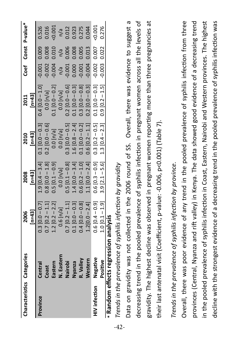| Characteristics Categories |                                                             | 2006                | 2008                | 2010                                    | 2011                                   |                   | Coef Const P-value* |
|----------------------------|-------------------------------------------------------------|---------------------|---------------------|-----------------------------------------|----------------------------------------|-------------------|---------------------|
|                            |                                                             | $[n=43]$            | $[n=43]$            | $[n=43]$                                | $\begin{bmatrix} n = 43 \end{bmatrix}$ |                   |                     |
| Province                   | Central                                                     | $0.3$ [0.0 - 0.7]   | $1.9$ [0.4 - 3.4]   | $0.1$ [0.0 - 0.3]                       | $0.4 [0.0 - 1.0]$                      | $-0.001$ 0.009    | 0.526               |
|                            | bast                                                        | $0.7$ [0.2 – 1.1]   | $0.8$ [0.0 - 1.8]   | $0.2$ [0.0 - 0.6]                       | $0.0$ [n/a]                            | 0.008<br>0.002    | 0.016               |
|                            | astern                                                      | $1.2$ [0.2 – 2.2]   | $0.5$ [0.1 – 0.9]   | $0.0$ [n/a]                             | $0.1$ [0.0 – 0.2]                      | 0.010<br>$-0.004$ | :0.001              |
|                            | l. Eastern                                                  | $0.6$ [n/a]         | $0.0$ [n/a]         | $0.0$ [n/a]                             | $0.0$ [n/a]                            | n/a<br>n/a        | n/a                 |
|                            | lairobi                                                     | $0.7$ [0.2 $-1.1$ ] | $0.5$ [0.1 $-0.8$ ] | $0.3$ [ $0.0 - 0.5$ ]                   | $0.2 [0.0 - 0.6]$                      | 0.006<br>$-0.001$ | 0.012               |
|                            | <b>bzue</b>                                                 | $0.1$ [0.0 - 0.3]   | $1.4$ [0.0 – 3.4]   | $1.6$ [0.8 – 2.4]                       | $0.1$ [0.0 – 0.3]                      | 0.008<br>0.000    | 0.923               |
|                            | valley.                                                     | $0.4$ [0.0 – 0.8]   | $0.6$ [0.2 $-1.0$ ] | $0.1$ [0.0 – 0.2]                       | $0.3 [0.0 - 0.8]$                      | 0.005<br>0.001    | 0.275               |
|                            | <b>lestern</b>                                              | $1.2[0.0 - 2.4]$    | $1.1$ [0.0 - 2.4]   | $0.6$ [0.2 – 1.1]                       | $0.2 [0.0 - 0.3]$                      | 0.013<br>$-0.004$ | 0.044               |
| HIV infection              | legative                                                    | $0.6 [0.4 - 0.9]$   | $0.6$ [0.3 - 0.9]   | $0.3$ [0.2 - 0.5]                       | $0.1$ [0.0 – 0.3]                      | 0.007<br>$-0.002$ | 0.001               |
|                            | ositive                                                     | $1.0$ [0.1 – 1.9]   |                     | $3.9$ $[2.1 - 5.6]$ $1.3$ $[0.4 - 2.3]$ | $0.9$ [0.2 – 1.5]                      | $-0.003$ 0.022    | 0.276               |
|                            | * Random effects regression analysis                        |                     |                     |                                         |                                        |                   |                     |
|                            | Trends in the prevalence of syphilis infection by gravidity |                     |                     |                                         |                                        |                   |                     |
|                            |                                                             |                     |                     |                                         |                                        |                   |                     |

Data on gravidity was not collected in the 2006 round of SS. Overall, there was evidence to suggest a decreasing trend in the pooled prevalence of syphilis infection in pregnant women across all the levels of decreasing trend in the pooled prevalence of syphilis infection in pregnant women across all the levels of gravidity. The highest decline was observed in pregnant women reporting more than three pregnancies at Data on gravidity was not collected in the 2006 round of SS. Overall, there was evidence to suggest a gravidity. The highest decline was observed in pregnant women reporting more than three pregnancies at their last antenatal visit (Coefficient, p-value: -0.006, p<0.001) (Table 7). their last antenatal visit (Coefficient, p-value: -0.006, p<0.001) (Table 7).

# Trends in the prevalence of syphilis infection by province. *Trends in the prevalence of syphilis infection by province.*

Overall, there was poor evidence of any trend in the pooled prevalence of syphilis infection from three Overall, there was poor evidence of any trend in the pooled prevalence of syphilis infection from three provinces (Central, Nyanza and rift valley) in Kenya. The data showed good evidence of a decreasing trend in the pooled prevalence of syphilis infection in Coast, Eastern, Nairobi and Western provinces. The highest decline with the strongest evidence of a decreasing trend in the pooled prevalence of syphilis infection was decline with the strongest evidence of a decreasing trend in the pooled prevalence of syphilis infection was provinces (Central, Nyanza and rift valley) in Kenya. The data showed good evidence of a decreasing trend in the pooled prevalence of syphilis infection in Coast, Eastern, Nairobi and Western provinces. The highest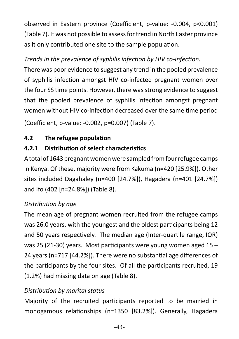observed in Eastern province (Coefficient, p-value: -0.004, p<0.001) (Table 7). It was not possible to assess for trend in North Easter province as it only contributed one site to the sample population.

#### *Trends in the prevalence of syphilis infection by HIV co-infection.*

There was poor evidence to suggest any trend in the pooled prevalence of syphilis infection amongst HIV co-infected pregnant women over the four SS time points. However, there was strong evidence to suggest that the pooled prevalence of syphilis infection amongst pregnant women without HIV co-infection decreased over the same time period

(Coefficient, p-value: -0.002, p=0.007) (Table 7).

#### **4.2 The refugee population**

# **4.2.1 Distribution of select characteristics**

A total of 1643 pregnant women were sampled from four refugee camps in Kenya. Of these, majority were from Kakuma (n=420 [25.9%]). Other sites included Dagahaley (n=400 [24.7%]), Hagadera (n=401 [24.7%]) and Ifo (402 [n=24.8%]) (Table 8).

#### *Distribution by age*

The mean age of pregnant women recruited from the refugee camps was 26.0 years, with the youngest and the oldest participants being 12 and 50 years respectively. The median age (Inter-quartile range, IQR) was 25 (21-30) years. Most participants were young women aged 15 – 24 years (n=717 [44.2%]). There were no substantial age differences of the participants by the four sites. Of all the participants recruited, 19 (1.2%) had missing data on age (Table 8).

#### *Distribution by marital status*

Majority of the recruited participants reported to be married in monogamous relationships (n=1350 [83.2%]). Generally, Hagadera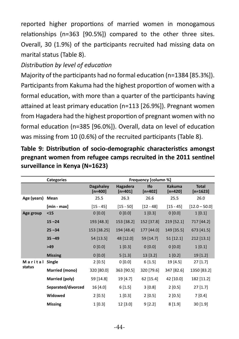reported higher proportions of married women in monogamous relationships (n=363 [90.5%]) compared to the other three sites. Overall, 30 (1.9%) of the participants recruited had missing data on marital status (Table 8).

#### *Distribution by level of education*

Majority of the participants had no formal education (n=1384 [85.3%]). Participants from Kakuma had the highest proportion of women with a formal education, with more than a quarter of the participants having attained at least primary education (n=113 [26.9%]). Pregnant women from Hagadera had the highest proportion of pregnant women with no formal education (n=385 [96.0%]). Overall, data on level of education was missing from 10 (0.6%) of the recruited participants (Table 8).

| Table 9: Distribution of socio-demographic characteristics amongst |  |
|--------------------------------------------------------------------|--|
| pregnant women from refugee camps recruited in the 2011 sentinel   |  |
| surveillance in Kenya (N=1623)                                     |  |

|             | <b>Categories</b>  |                             |                       | Frequency [column %]    |                            |                            |
|-------------|--------------------|-----------------------------|-----------------------|-------------------------|----------------------------|----------------------------|
|             |                    | <b>Dagahaley</b><br>[n=400] | Hagadera<br>$[n=401]$ | <b>Ifo</b><br>$[n=402]$ | <b>Kakuma</b><br>$[n=420]$ | <b>Total</b><br>$[n=1623]$ |
| Age (years) | Mean               | 25.5                        | 26.3                  | 26.6                    | 25.5                       | 26.0                       |
|             | [min - max]        | $[15 - 45]$                 | $[15 - 50]$           | $[12 - 48]$             | $[15 - 45]$                | $[12.0 - 50.0]$            |
| Age group   | < 15               | 0 [0.0]                     | 0 [0.0]               | 1 [0.3]                 | 0 [0.0]                    | 1[0.1]                     |
|             | $15 - 24$          | 193 [48.3]                  | 153 [38.2]            | 152 [37.8]              | 219 [52.1]                 | 717 [44.2]                 |
|             | $25 - 34$          | 153 [38.25]                 | 194 [48.4]            | 177 [44.0]              | 149 [35.5]                 | 673 [41.5]                 |
|             | $35 - 49$          | 54 [13.5]                   | 48 [12.0]             | 59 [14.7]               | $51$ [12.1]                | 212 [13.1]                 |
|             | >49                | 0 [0.0]                     | 1 [0.3]               | 0[0.0]                  | 0 [0.0]                    | 1[0.1]                     |
|             | <b>Missing</b>     | 0 [0.0]                     | 5[1.3]                | 13 [3.2]                | 1 [0.2]                    | 19 [1.2]                   |
| Marital     | Single             | 2[0.5]                      | 0 [0.0]               | 6[1.5]                  | 19[4.5]                    | $27$ [1.7]                 |
| status      | Married (mono)     | 320 [80.0]                  | 363 [90.5]            | 320 [79.6]              | 347 [82.6]                 | 1350 [83.2]                |
|             | Married (poly)     | 59 [14.8]                   | 19 [4.7]              | 62 [15.4]               | 42 [10.0]                  | 182 [11.2]                 |
|             | Separated/divorced | 16 [4.0]                    | 6[1.5]                | 3 [0.8]                 | 2 [0.5]                    | $27$ [1.7]                 |
|             | Widowed            | 2[0.5]                      | 1 [0.3]               | 2[0.5]                  | 2 [0.5]                    | 7[0.4]                     |
|             | <b>Missing</b>     | 1 [0.3]                     | 12 [3.0]              | 9 [2.2]                 | 8[1.9]                     | 30[1.9]                    |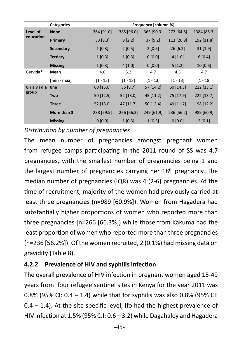|           | <b>Categories</b> |             |             | Frequency [column %] |            |              |
|-----------|-------------------|-------------|-------------|----------------------|------------|--------------|
| Level of  | <b>None</b>       | 364 [91.0]  | 385 [96.0]  | 363 [90.3]           | 272 [64.8] | 1384 [85.3]  |
| education | Primary           | 33 [8.3]    | 9 [2.2]     | 37[9.2]              | 113 [26.9] | 192 [11.8]   |
|           | <b>Secondary</b>  | 1 [0.3]     | 2 [0.5]     | 2 [0.5]              | 26[6.2]    | $31$ [1.9]   |
|           | <b>Tertiary</b>   | 1 [0.3]     | 1 [0.3]     | 0 [0.0]              | 4 [1.0]    | 6[0.4]       |
|           | <b>Missing</b>    | 1 [0.3]     | 4 [1.0]     | 0 [0.0]              | 5[1.2]     | 10[0.6]      |
| Gravida*  | Mean              | 4.6         | 5.2         | 4.7                  | 4.3        | 4.7          |
|           | [min - max]       | $[1 - 15]$  | $[1 - 18]$  | $[1 - 13]$           | $[1 - 13]$ | $[1 - 18]$   |
| Gravida   | <b>One</b>        | 60 [15.0]   | 35 [8.7]    | 57 [14.2]            | 60 [14.3]  | $212$ [13.1] |
| group     | Two               | $50$ [12.5] | $52$ [13.0] | 45 [11.2]            | 75 [17.9]  | 222 [13.7]   |
|           | <b>Three</b>      | $52$ [13.0] | $47$ [11.7] | $50$ [12.4]          | 49 [11.7]  | 198 [12.2]   |
|           | More than 3       | 238 [59.5]  | 266 [66.3]  | 249 [61.9]           | 236 [56.2] | 989 [60.9]   |
|           | <b>Missing</b>    | 0 [0.0]     | 1 [0.3]     | $1$ [0.3]            | 0 [0.0]    | 2[0.1]       |

*Distribution by number of pregnancies*

The mean number of pregnancies amongst pregnant women from refugee camps participating in the 2011 round of SS was 4.7 pregnancies, with the smallest number of pregnancies being 1 and the largest number of pregnancies carrying her  $18<sup>th</sup>$  pregnancy. The median number of pregnancies (IQR) was 4 (2-6) pregnancies. At the time of recruitment, majority of the women had previously carried at least three pregnancies (n=989 [60.9%]). Women from Hagadera had substantially higher proportions of women who reported more than three pregnancies [n=266 [66.3%]) while those from Kakuma had the least proportion of women who reported more than three pregnancies (n=236 [56.2%]). Of the women recruited, 2 (0.1%) had missing data on gravidity (Table 8).

#### **4.2.2 Prevalence of HIV and syphilis infection**

The overall prevalence of HIV infection in pregnant women aged 15-49 years from four refugee sentinel sites in Kenya for the year 2011 was 0.8% (95% CI: 0.4 – 1.4) while that for syphilis was also 0.8% (95% CI:  $0.4 - 1.4$ ). At the site specific level, Ifo had the highest prevalence of HIV infection at 1.5% (95% C.I: 0.6 – 3.2) while Dagahaley and Hagadera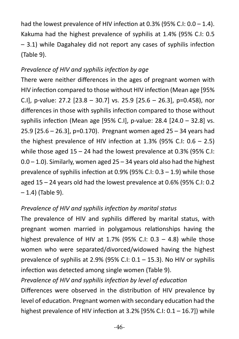had the lowest prevalence of HIV infection at 0.3% (95% C.I: 0.0 – 1.4). Kakuma had the highest prevalence of syphilis at 1.4% (95% C.I: 0.5 – 3.1) while Dagahaley did not report any cases of syphilis infection (Table 9).

#### *Prevalence of HIV and syphilis infection by age*

There were neither differences in the ages of pregnant women with HIV infection compared to those without HIV infection (Mean age [95% C.I], p-value: 27.2 [23.8 – 30.7] vs. 25.9 [25.6 – 26.3], p=0.458), nor differences in those with syphilis infection compared to those without syphilis infection (Mean age [95% C.I], p-value: 28.4 [24.0 – 32.8] vs. 25.9 [25.6 – 26.3], p=0.170). Pregnant women aged 25 – 34 years had the highest prevalence of HIV infection at 1.3% (95% C.I:  $0.6 - 2.5$ ) while those aged 15 – 24 had the lowest prevalence at 0.3% (95% C.I:  $0.0 - 1.0$ ). Similarly, women aged  $25 - 34$  years old also had the highest prevalence of syphilis infection at 0.9% (95% C.I: 0.3 – 1.9) while those aged 15 – 24 years old had the lowest prevalence at 0.6% (95% C.I: 0.2  $-1.4$ ) (Table 9).

#### *Prevalence of HIV and syphilis infection by marital status*

The prevalence of HIV and syphilis differed by marital status, with pregnant women married in polygamous relationships having the highest prevalence of HIV at 1.7% (95% C.I:  $0.3 - 4.8$ ) while those women who were separated/divorced/widowed having the highest prevalence of syphilis at 2.9% (95% C.I:  $0.1 - 15.3$ ). No HIV or syphilis infection was detected among single women (Table 9).

#### *Prevalence of HIV and syphilis infection by level of education*

Differences were observed in the distribution of HIV prevalence by level of education. Pregnant women with secondary education had the highest prevalence of HIV infection at 3.2% [95% C.I: 0.1 – 16.7]) while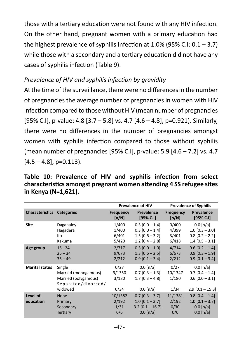those with a tertiary education were not found with any HIV infection. On the other hand, pregnant women with a primary education had the highest prevalence of syphilis infection at 1.0% (95% C.I:  $0.1 - 3.7$ ) while those with a secondary and a tertiary education did not have any cases of syphilis infection (Table 9).

#### *Prevalence of HIV and syphilis infection by gravidity*

At the time of the surveillance, there were no differences in the number of pregnancies the average number of pregnancies in women with HIV infection compared to those without HIV (mean number of pregnancies [95% C.I], p-value: 4.8 [3.7 – 5.8] vs. 4.7 [4.6 – 4.8], p=0.921). Similarly, there were no differences in the number of pregnancies amongst women with syphilis infection compared to those without syphilis (mean number of pregnancies [95% C.I], p-value: 5.9 [4.6 – 7.2] vs. 4.7  $[4.5 - 4.8]$ , p=0.113).

**Table 10: Prevalence of HIV and syphilis infection from select characteristics amongst pregnant women attending 4 SS refugee sites in Kenya (N=1,621).**

|                        |                                                                                          | <b>Prevalence of HIV</b>         |                                                                                    | <b>Prevalence of Syphilis</b>    |                                                                             |
|------------------------|------------------------------------------------------------------------------------------|----------------------------------|------------------------------------------------------------------------------------|----------------------------------|-----------------------------------------------------------------------------|
| <b>Characteristics</b> | <b>Categories</b>                                                                        | <b>Frequency</b><br>[n/N]        | Prevalence<br>[95% C.1]                                                            | <b>Frequency</b><br>[n/N]        | Prevalence<br>[95% C.1]                                                     |
| <b>Site</b>            | Dagahaley<br>Hagadera<br>Ifo<br>Kakuma                                                   | 1/400<br>1/400<br>6/401<br>5/420 | $0.3$ [0.0 - 1.4]<br>$0.3$ $[0.0 - 1.4]$<br>$1.5$ [0.6 - 3.2]<br>$1.2$ [0.4 - 2.8] | 0/400<br>4/399<br>3/401<br>6/418 | $0.0$ [n/a]<br>$1.0$ [0.3 - 3.0]<br>$0.8$ [0.2 - 2.2]<br>$1.4$ [0.5 - 3.1]  |
| Age group              | $15 - 24$<br>$25 - 34$<br>$35 - 49$                                                      | 2/717<br>9/673<br>2/212          | $0.3$ [0.0 - 1.0]<br>$1.3$ [0.6 - 2.5]<br>$0.9$ [0.1 - 3.4]                        | 4/714<br>6/673<br>2/212          | $0.6$ [0.2 - 1.4]<br>$0.9$ [0.3 - 1.9]<br>$0.9$ [0.1 - 3.4]                 |
| <b>Marital status</b>  | Single<br>Married (monogamous)<br>Married (polygamous)<br>Separated/divorced/<br>widowed | 0/27<br>9/1350<br>3/180<br>0/34  | $0.0$ [n/a]<br>$0.7$ [0.3 - 1.3]<br>$1.7$ [0.3 - 4.8]<br>$0.0$ [n/a]               | 0/27<br>10/1347<br>1/180<br>1/34 | $0.0$ [n/a]<br>$0.7$ [0.4 - 1.4]<br>$0.6$ [0.0 - 3.1]<br>$2.9$ [0.1 - 15.3] |
| Level of<br>education  | <b>None</b><br>Primary<br>Secondary<br>Tertiary                                          | 10/1382<br>2/192<br>1/31<br>0/6  | $0.7$ [0.3 - 3.7]<br>$1.0$ [0.1 - 3.7]<br>$3.2$ [0.1 - 16.7]<br>$0.0$ [n/a]        | 11/1381<br>2/192<br>0/30<br>0/6  | $0.8$ [0.4 - 1.4]<br>$1.0$ [0.1 - 3.7]<br>$0.0$ [n/a]<br>$0.0$ [n/a]        |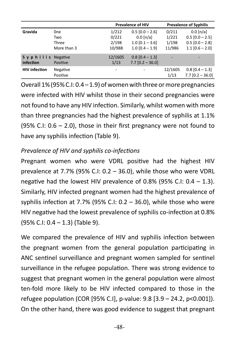|                                       |                      | <b>Prevalence of HIV</b> |                                         | <b>Prevalence of Syphilis</b> |                                         |
|---------------------------------------|----------------------|--------------------------|-----------------------------------------|-------------------------------|-----------------------------------------|
| Gravida                               | 0ne                  | 1/212                    | $0.5$ [0.0 - 2.6]                       | 0/211                         | $0.0$ [n/a]                             |
|                                       | Two                  | 0/221                    | $0.0$ [n/a]                             | 1/221                         | $0.5$ [0.0 - 2.5]                       |
|                                       | Three                | 2/198                    | $1.0$ [0.1 - 3.6]                       | 1/198                         | $0.5$ $[0.0 - 2.8]$                     |
|                                       | More than 3          | 10/988                   | $1.0$ [0.4 - 1.9]                       | 11/986                        | $1.1$ [0.6 - 2.0]                       |
| S y p h i l i s Negative<br>infection | Positive             | 12/1605<br>1/13          | $0.8$ [0.4 - 1.3]<br>$7.7$ [0.2 - 36.0] |                               |                                         |
| <b>HIV</b> infection                  | Negative<br>Positive |                          |                                         | 12/1605<br>1/13               | $0.8$ [0.4 - 1.3]<br>$7.7$ [0.2 - 36.0] |

Overall 1% (95% C.I: 0.4 – 1.9) of women with three or more pregnancies were infected with HIV whilst those in their second pregnancies were not found to have any HIV infection. Similarly, whilst women with more than three pregnancies had the highest prevalence of syphilis at 1.1% (95% C.I: 0.6 – 2.0), those in their first pregnancy were not found to have any syphilis infection (Table 9).

#### *Prevalence of HIV and syphilis co-infections*

Pregnant women who were VDRL positive had the highest HIV prevalence at 7.7% (95% C.I: 0.2 – 36.0), while those who were VDRL negative had the lowest HIV prevalence of 0.8% (95% C.I:  $0.4 - 1.3$ ). Similarly, HIV infected pregnant women had the highest prevalence of syphilis infection at 7.7% (95% C.I: 0.2 – 36.0), while those who were HIV negative had the lowest prevalence of syphilis co-infection at 0.8% (95% C.I: 0.4 – 1.3) (Table 9).

We compared the prevalence of HIV and syphilis infection between the pregnant women from the general population participating in ANC sentinel surveillance and pregnant women sampled for sentinel surveillance in the refugee population. There was strong evidence to suggest that pregnant women in the general population were almost ten-fold more likely to be HIV infected compared to those in the refugee population (COR [95% C.I], p-value: 9.8 [3.9 – 24.2, p<0.001]). On the other hand, there was good evidence to suggest that pregnant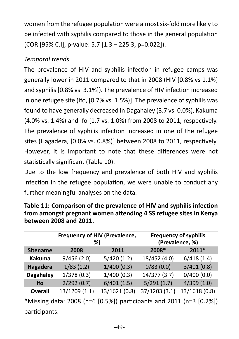women from the refugee population were almost six-fold more likely to be infected with syphilis compared to those in the general population (COR [95% C.I], p-value: 5.7 [1.3 – 225.3, p=0.022]).

# *Temporal trends*

The prevalence of HIV and syphilis infection in refugee camps was generally lower in 2011 compared to that in 2008 (HIV [0.8% vs 1.1%] and syphilis [0.8% vs. 3.1%]). The prevalence of HIV infection increased in one refugee site (Ifo, [0.7% vs. 1.5%)]. The prevalence of syphilis was found to have generally decreased in Dagahaley (3.7 vs. 0.0%), Kakuma (4.0% vs. 1.4%) and Ifo [1.7 vs. 1.0%) from 2008 to 2011, respectively. The prevalence of syphilis infection increased in one of the refugee sites (Hagadera, [0.0% vs. 0.8%)] between 2008 to 2011, respectively. However, it is important to note that these differences were not statistically significant (Table 10).

Due to the low frequency and prevalence of both HIV and syphilis infection in the refugee population, we were unable to conduct any further meaningful analyses on the data.

|                  | Frequency of HIV (Prevalence,<br>%) |               | <b>Frequency of syphilis</b><br>(Prevalence, %) |               |  |
|------------------|-------------------------------------|---------------|-------------------------------------------------|---------------|--|
| <b>Sitename</b>  | 2008                                | 2011          | 2008*                                           | 2011*         |  |
| <b>Kakuma</b>    | 9/456(2.0)                          | 5/420(1.2)    | 18/452 (4.0)                                    | 6/418(1.4)    |  |
| Hagadera         | 1/83(1.2)                           | 1/400(0.3)    | 0/83(0.0)                                       | 3/401(0.8)    |  |
| <b>Dagahaley</b> | 1/378(0.3)                          | 1/400(0.3)    | 14/377 (3.7)                                    | 0/400(0.0)    |  |
| <b>Ifo</b>       | 2/292(0.7)                          | 6/401(1.5)    | 5/291(1.7)                                      | 4/399(1.0)    |  |
| <b>Overall</b>   | 13/1209 (1.1)                       | 13/1621 (0.8) | 37/1203 (3.1)                                   | 13/1618 (0.8) |  |

**Table 11: Comparison of the prevalence of HIV and syphilis infection from amongst pregnant women attending 4 SS refugee sites in Kenya between 2008 and 2011.**

**\***Missing data: 2008 (n=6 [0.5%]) participants and 2011 (n=3 [0.2%]) participants.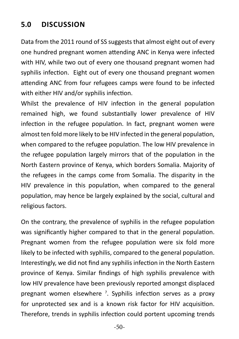# **5.0 DISCUSSION**

Data from the 2011 round of SS suggests that almost eight out of every one hundred pregnant women attending ANC in Kenya were infected with HIV, while two out of every one thousand pregnant women had syphilis infection. Eight out of every one thousand pregnant women attending ANC from four refugees camps were found to be infected with either HIV and/or syphilis infection.

Whilst the prevalence of HIV infection in the general population remained high, we found substantially lower prevalence of HIV infection in the refugee population. In fact, pregnant women were almost ten fold more likely to be HIV infected in the general population, when compared to the refugee population. The low HIV prevalence in the refugee population largely mirrors that of the population in the North Eastern province of Kenya, which borders Somalia. Majority of the refugees in the camps come from Somalia. The disparity in the HIV prevalence in this population, when compared to the general population, may hence be largely explained by the social, cultural and religious factors.

On the contrary, the prevalence of syphilis in the refugee population was significantly higher compared to that in the general population. Pregnant women from the refugee population were six fold more likely to be infected with syphilis, compared to the general population. Interestingly, we did not find any syphilis infection in the North Eastern province of Kenya. Similar findings of high syphilis prevalence with low HIV prevalence have been previously reported amongst displaced pregnant women elsewhere <sup>7</sup>. Syphilis infection serves as a proxy for unprotected sex and is a known risk factor for HIV acquisition. Therefore, trends in syphilis infection could portent upcoming trends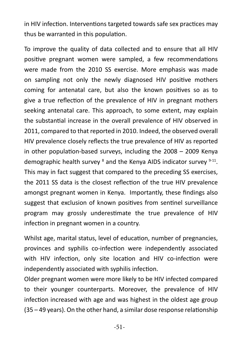in HIV infection. Interventions targeted towards safe sex practices may thus be warranted in this population.

To improve the quality of data collected and to ensure that all HIV positive pregnant women were sampled, a few recommendations were made from the 2010 SS exercise. More emphasis was made on sampling not only the newly diagnosed HIV positive mothers coming for antenatal care, but also the known positives so as to give a true reflection of the prevalence of HIV in pregnant mothers seeking antenatal care. This approach, to some extent, may explain the substantial increase in the overall prevalence of HIV observed in 2011, compared to that reported in 2010. Indeed, the observed overall HIV prevalence closely reflects the true prevalence of HIV as reported in other population-based surveys, including the 2008 – 2009 Kenya demographic health survey <sup>8</sup> and the Kenya AIDS indicator survey <sup>9-11</sup>. This may in fact suggest that compared to the preceding SS exercises, the 2011 SS data is the closest reflection of the true HIV prevalence amongst pregnant women in Kenya. Importantly, these findings also suggest that exclusion of known positives from sentinel surveillance program may grossly underestimate the true prevalence of HIV infection in pregnant women in a country.

Whilst age, marital status, level of education, number of pregnancies, provinces and syphilis co-infection were independently associated with HIV infection, only site location and HIV co-infection were independently associated with syphilis infection.

Older pregnant women were more likely to be HIV infected compared to their younger counterparts. Moreover, the prevalence of HIV infection increased with age and was highest in the oldest age group (35 – 49 years). On the other hand, a similar dose response relationship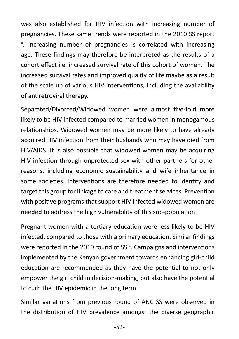was also established for HIV infection with increasing number of pregnancies. These same trends were reported in the 2010 SS report 4 . Increasing number of pregnancies is correlated with increasing age. These findings may therefore be interpreted as the results of a cohort effect i.e. increased survival rate of this cohort of women. The increased survival rates and improved quality of life maybe as a result of the scale up of various HIV interventions, including the availability of antiretroviral therapy.

Separated/Divorced/Widowed women were almost five-fold more likely to be HIV infected compared to married women in monogamous relationships. Widowed women may be more likely to have already acquired HIV infection from their husbands who may have died from HIV/AIDS. It is also possible that widowed women may be acquiring HIV infection through unprotected sex with other partners for other reasons, including economic sustainability and wife inheritance in some societies. Interventions are therefore needed to identify and target this group for linkage to care and treatment services. Prevention with positive programs that support HIV infected widowed women are needed to address the high vulnerability of this sub-population.

Pregnant women with a tertiary education were less likely to be HIV infected, compared to those with a primary education. Similar findings were reported in the 2010 round of SS $4$ . Campaigns and interventions implemented by the Kenyan government towards enhancing girl-child education are recommended as they have the potential to not only empower the girl child in decision-making, but also have the potential to curb the HIV epidemic in the long term.

Similar variations from previous round of ANC SS were observed in the distribution of HIV prevalence amongst the diverse geographic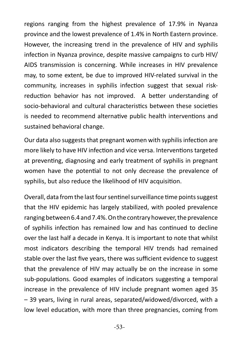regions ranging from the highest prevalence of 17.9% in Nyanza province and the lowest prevalence of 1.4% in North Eastern province. However, the increasing trend in the prevalence of HIV and syphilis infection in Nyanza province, despite massive campaigns to curb HIV/ AIDS transmission is concerning. While increases in HIV prevalence may, to some extent, be due to improved HIV-related survival in the community, increases in syphilis infection suggest that sexual riskreduction behavior has not improved. A better understanding of socio-behavioral and cultural characteristics between these societies is needed to recommend alternative public health interventions and sustained behavioral change.

Our data also suggests that pregnant women with syphilis infection are more likely to have HIV infection and vice versa. Interventions targeted at preventing, diagnosing and early treatment of syphilis in pregnant women have the potential to not only decrease the prevalence of syphilis, but also reduce the likelihood of HIV acquisition.

Overall, data from the last four sentinel surveillance time points suggest that the HIV epidemic has largely stabilized, with pooled prevalence ranging between 6.4 and 7.4%. On the contrary however, the prevalence of syphilis infection has remained low and has continued to decline over the last half a decade in Kenya. It is important to note that whilst most indicators describing the temporal HIV trends had remained stable over the last five years, there was sufficient evidence to suggest that the prevalence of HIV may actually be on the increase in some sub-populations. Good examples of indicators suggesting a temporal increase in the prevalence of HIV include pregnant women aged 35 – 39 years, living in rural areas, separated/widowed/divorced, with a low level education, with more than three pregnancies, coming from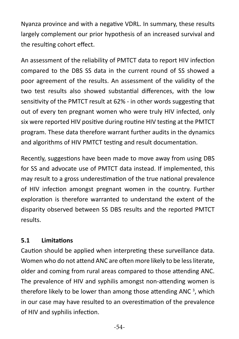Nyanza province and with a negative VDRL. In summary, these results largely complement our prior hypothesis of an increased survival and the resulting cohort effect.

An assessment of the reliability of PMTCT data to report HIV infection compared to the DBS SS data in the current round of SS showed a poor agreement of the results. An assessment of the validity of the two test results also showed substantial differences, with the low sensitivity of the PMTCT result at 62% - in other words suggesting that out of every ten pregnant women who were truly HIV infected, only six were reported HIV positive during routine HIV testing at the PMTCT program. These data therefore warrant further audits in the dynamics and algorithms of HIV PMTCT testing and result documentation. 

Recently, suggestions have been made to move away from using DBS for SS and advocate use of PMTCT data instead. If implemented, this may result to a gross underestimation of the true national prevalence of HIV infection amongst pregnant women in the country. Further exploration is therefore warranted to understand the extent of the disparity observed between SS DBS results and the reported PMTCT results.

#### **5.1 Limitations**

Caution should be applied when interpreting these surveillance data. Women who do not attend ANC are often more likely to be less literate, older and coming from rural areas compared to those attending ANC. The prevalence of HIV and syphilis amongst non-attending women is therefore likely to be lower than among those attending ANC<sup>3</sup>, which in our case may have resulted to an overestimation of the prevalence of HIV and syphilis infection.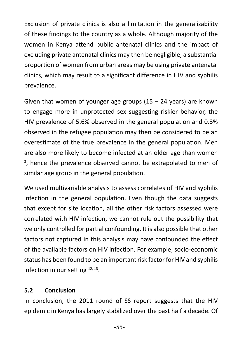Exclusion of private clinics is also a limitation in the generalizability of these findings to the country as a whole. Although majority of the women in Kenya attend public antenatal clinics and the impact of excluding private antenatal clinics may then be negligible, a substantial proportion of women from urban areas may be using private antenatal clinics, which may result to a significant difference in HIV and syphilis prevalence.

Given that women of younger age groups  $(15 - 24 \text{ years})$  are known to engage more in unprotected sex suggesting riskier behavior, the HIV prevalence of 5.6% observed in the general population and 0.3% observed in the refugee population may then be considered to be an overestimate of the true prevalence in the general population. Men are also more likely to become infected at an older age than women <sup>3</sup>, hence the prevalence observed cannot be extrapolated to men of similar age group in the general population.

We used multivariable analysis to assess correlates of HIV and syphilis infection in the general population. Even though the data suggests that except for site location, all the other risk factors assessed were correlated with HIV infection, we cannot rule out the possibility that we only controlled for partial confounding. It is also possible that other factors not captured in this analysis may have confounded the effect of the available factors on HIV infection. For example, socio-economic status has been found to be an important risk factor for HIV and syphilis infection in our setting  $12, 13$ .

#### **5.2 Conclusion**

In conclusion, the 2011 round of SS report suggests that the HIV epidemic in Kenya has largely stabilized over the past half a decade. Of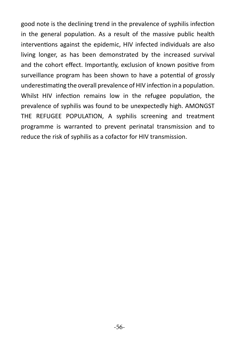good note is the declining trend in the prevalence of syphilis infection in the general population. As a result of the massive public health interventions against the epidemic, HIV infected individuals are also living longer, as has been demonstrated by the increased survival and the cohort effect. Importantly, exclusion of known positive from surveillance program has been shown to have a potential of grossly underestimating the overall prevalence of HIV infection in a population. Whilst HIV infection remains low in the refugee population, the prevalence of syphilis was found to be unexpectedly high. AMONGST THE REFUGEE POPULATION, A syphilis screening and treatment programme is warranted to prevent perinatal transmission and to reduce the risk of syphilis as a cofactor for HIV transmission.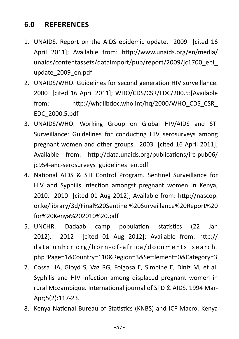# **6.0 REFERENCES**

- 1. UNAIDS. Report on the AIDS epidemic update. 2009 [cited 16 April 2011]; Available from: http://www.unaids.org/en/media/ unaids/contentassets/dataimport/pub/report/2009/jc1700\_epi\_ update\_2009\_en.pdf
- 2. UNAIDS/WHO. Guidelines for second generation HIV surveillance. 2000 [cited 16 April 2011]; WHO/CDS/CSR/EDC/200.5:[Available from: http://whqlibdoc.who.int/hq/2000/WHO\_CDS\_CSR\_ EDC\_2000.5.pdf
- 3. UNAIDS/WHO. Working Group on Global HIV/AIDS and STI Surveillance: Guidelines for conducting HIV serosurveys among pregnant women and other groups. 2003 [cited 16 April 2011]; Available from: http://data.unaids.org/publications/irc-pub06/ jc954-anc-serosurveys\_guidelines\_en.pdf
- 4. National AIDS & STI Control Program. Sentinel Surveillance for HIV and Syphilis infection amongst pregnant women in Kenya, 2010. 2010 [cited 01 Aug 2012]; Available from: http://nascop. or.ke/library/3d/Final%20Sentinel%20Surveillance%20Report%20 for%20Kenya%202010%20.pdf
- 5. UNCHR. Dadaab camp population statistics (22 Jan 2012). 2012 [cited 01 Aug 2012]; Available from: http:// data.unhcr.org /horn-of-africa/documents\_search. php?Page=1&Country=110&Region=3&Settlement=0&Category=3
- 7. Cossa HA, Gloyd S, Vaz RG, Folgosa E, Simbine E, Diniz M, et al. Syphilis and HIV infection among displaced pregnant women in rural Mozambique. International journal of STD & AIDS. 1994 Mar-Apr;5(2):117-23.
- 8. Kenya National Bureau of Statistics (KNBS) and ICF Macro. Kenya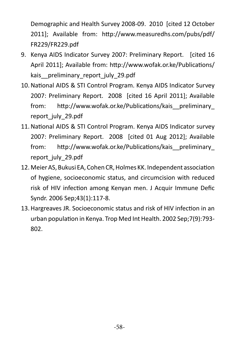Demographic and Health Survey 2008-09. 2010 [cited 12 October 2011]; Available from: http://www.measuredhs.com/pubs/pdf/ FR229/FR229.pdf

- 9. Kenya AIDS Indicator Survey 2007: Preliminary Report. [cited 16 April 2011]; Available from: http://www.wofak.or.ke/Publications/ kais preliminary report july 29.pdf
- 10.National AIDS & STI Control Program. Kenya AIDS Indicator Survey 2007: Preliminary Report. 2008 [cited 16 April 2011]; Available from: http://www.wofak.or.ke/Publications/kais\_\_preliminary\_ report\_july\_29.pdf
- 11.National AIDS & STI Control Program. Kenya AIDS Indicator survey 2007: Preliminary Report. 2008 [cited 01 Aug 2012]; Available from: http://www.wofak.or.ke/Publications/kais preliminary report\_july\_29.pdf
- 12. Meier AS, Bukusi EA, Cohen CR, Holmes KK. Independent association of hygiene, socioeconomic status, and circumcision with reduced risk of HIV infection among Kenyan men. J Acquir Immune Defic Syndr. 2006 Sep;43(1):117-8.
- 13.Hargreaves JR. Socioeconomic status and risk of HIV infection in an urban population in Kenya. Trop Med Int Health. 2002 Sep;7(9):793- 802.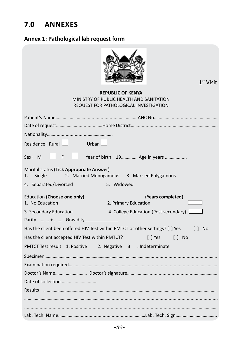# **7.0 Annexes**

#### **Annex 1: Pathological lab request form**

| $1st$ Visit                                                                                                    |
|----------------------------------------------------------------------------------------------------------------|
| <b>REPUBLIC OF KENYA</b><br>MINISTRY OF PUBLIC HEALTH AND SANITATION<br>REQUEST FOR PATHOLOGICAL INVESTIGATION |
|                                                                                                                |
|                                                                                                                |
|                                                                                                                |
| Residence: Rural Jurban                                                                                        |
| Year of birth 19 Age in years<br>Sex: M<br>F                                                                   |
| Marital status (Tick Appropriate Answer)<br>2. Married Monogamous 3. Married Polygamous<br>1.<br>Single        |
| 5. Widowed<br>4. Separated/Divorced                                                                            |
| Education (Choose one only)<br>(Years completed)<br>1. No Education<br>2. Primary Education                    |
| 4. College Education (Post secondary) [<br>3. Secondary Education<br>Parity  +  Gravidity _______              |
| Has the client been offered HIV Test within PMTCT or other settings? [ ] Yes<br>[ ] No                         |
| Has the client accepted HIV Test within PMTCT?<br>$\Box$ $\Box$ No<br>[ ] Yes                                  |
| PMTCT Test result 1. Positive<br>2. Negative 3 . Indeterminate                                                 |
|                                                                                                                |
|                                                                                                                |
|                                                                                                                |
|                                                                                                                |
|                                                                                                                |
|                                                                                                                |
|                                                                                                                |
|                                                                                                                |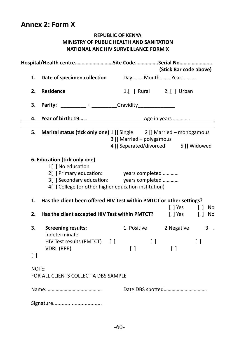## **Annex 2: Form X**

## **REPUBLIC OF KENYA MINISTRY OF PUBLIC HEALTH AND SANITATION NATIONAL ANC HIV SURVEILLANCE FORM X**

|                    | Hospital/Health centreSite CodeSerial No                                                                                                                                                      |                                                                   | (Stick Bar code above)          |                 |
|--------------------|-----------------------------------------------------------------------------------------------------------------------------------------------------------------------------------------------|-------------------------------------------------------------------|---------------------------------|-----------------|
| 1.                 | Date of specimen collection DayMonthYear                                                                                                                                                      |                                                                   |                                 |                 |
| 2.                 | <b>Residence</b>                                                                                                                                                                              | 1.[ ] Rural 2. [ ] Urban                                          |                                 |                 |
| з.                 |                                                                                                                                                                                               |                                                                   |                                 |                 |
| 4.                 | Year of birth: 19 Age in years                                                                                                                                                                |                                                                   |                                 |                 |
| 5.                 | Marital status (tick only one) 1 [] Single 2 [] Married - monogamous                                                                                                                          | 3 [] Married - polygamous<br>4 [] Separated/divorced 5 [] Widowed |                                 |                 |
|                    | 6. Education (tick only one)<br>1[] No education<br>2[] Primary education: years completed<br>3[] Secondary education: years completed<br>4[] College (or other higher education institution) |                                                                   |                                 |                 |
| 1.                 | Has the client been offered HIV Test within PMTCT or other settings?                                                                                                                          |                                                                   | $[$ ] Yes                       | $\Box$<br>No    |
| 2.                 | Has the client accepted HIV Test within PMTCT?                                                                                                                                                |                                                                   | [ ] Yes                         | $[ ]$ No        |
| 3.                 | <b>Screening results:</b><br>Indeterminate<br>HIV Test results (PMTCT) []                                                                                                                     | 1. Positive<br>$\Box$                                             | 2. Negative                     | $3$ .<br>$\Box$ |
| $\left[ \ \right]$ | VDRL (RPR)                                                                                                                                                                                    | $\begin{bmatrix} \end{bmatrix}$                                   | $\begin{bmatrix} \end{bmatrix}$ |                 |
| NOTE:              | FOR ALL CLIENTS COLLECT A DBS SAMPLE                                                                                                                                                          |                                                                   |                                 |                 |
|                    |                                                                                                                                                                                               |                                                                   |                                 |                 |
|                    |                                                                                                                                                                                               |                                                                   |                                 |                 |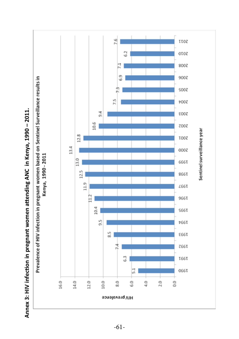

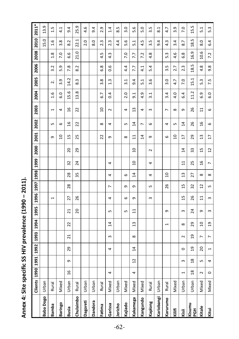| Š              |
|----------------|
|                |
|                |
|                |
| うり             |
|                |
|                |
|                |
|                |
|                |
| $\frac{1}{2}$  |
|                |
|                |
|                |
|                |
|                |
|                |
|                |
| SS HIS         |
|                |
| <b>Pecific</b> |
|                |
|                |
|                |
| .<br>تا+ة      |
|                |
|                |
|                |
| ٦              |
|                |
| eun)           |
|                |
|                |

|                      | Clients   1990   1991   1992   1993   1994 |                |                |                |                         |                |                 |                          | 1995   1996   1997   1998   1999   2000 |                |                |                 | 2001            | 2002            | 2003                    | 2004              | 2005             | 2006          | 2008 2010 2011*  |                  |                  |
|----------------------|--------------------------------------------|----------------|----------------|----------------|-------------------------|----------------|-----------------|--------------------------|-----------------------------------------|----------------|----------------|-----------------|-----------------|-----------------|-------------------------|-------------------|------------------|---------------|------------------|------------------|------------------|
| <b>Baba Dogo</b>     | Urban                                      |                |                |                |                         |                |                 |                          |                                         |                |                |                 |                 |                 |                         |                   |                  |               |                  | 15.0             | 13.9             |
| Bamba                | Rural                                      |                |                |                |                         |                |                 | $\overline{\phantom{0}}$ |                                         |                |                |                 | G               | LO.             | $\blacksquare$          | 1.6               | 2.               | 3.2           | 1.8              | $\frac{6}{1}$    | 1.5              |
| Baringo              | Mixed                                      |                |                |                |                         |                |                 |                          |                                         |                |                |                 | ្អ              | 9               | 4                       | $\overline{6.0}$  | 3.9              | 5.9           | 7.0              | 3.8              | 4.1              |
| Busia                | Urban                                      | $\frac{6}{1}$  | თ              | 29             | $\overline{21}$         | 22             | $\overline{21}$ | 27                       | 28                                      | 28             | 32             | 20              | $\frac{5}{1}$   | $\frac{9}{2}$   | $\frac{9}{1}$           | 15.6              | 14.2             | 7.8           | G<br>ق           | 8.2              | 9.4              |
| Chulaimbo            | Rural                                      |                |                |                |                         |                | 20              | 26                       |                                         | 35             | 24             | 29              | 25              | 22              | 22                      | 13.8              | 8.3              | 8.2           | 21.0             | 22.1             | 25.9             |
| Dagoreti             | Urban                                      |                |                |                |                         |                |                 |                          |                                         |                |                |                 |                 |                 |                         |                   |                  |               |                  | 2.0              | 4.6              |
| <b>Dandora</b>       | Urban                                      |                |                |                |                         |                |                 |                          |                                         |                |                |                 |                 |                 |                         |                   |                  |               |                  | 8.0              | 9.4              |
| Fatima               | Rural                                      |                |                |                |                         |                |                 |                          |                                         |                |                |                 | 22              | $\infty$        | $\overline{a}$          | 6.7               | 3.8              | 6.8           | 4.5              | 2.3              | 2.9              |
| Garissa              | Mixed                                      | 4              |                | 4              | 3                       | $\overline{1}$ | LO.             | 4                        | $\overline{ }$                          | 4              | 4              |                 | G               | 4               | $\overline{\mathsf{C}}$ | $\ddot{0}$        | 1.3              | $\frac{6}{1}$ | $4.\overline{3}$ | 2.3              | 1.4              |
| Jericho              | Urban                                      |                |                |                |                         |                |                 |                          |                                         |                |                |                 |                 |                 |                         |                   |                  |               |                  | 4.4              | 8.5              |
| Kajiado              | Mixed                                      |                |                |                |                         |                | Ь٥              | 6                        | თ                                       | 6              |                |                 | $\infty$        | Ь٥              | 4                       | 2.0               | 3.1              | 4.4           | 7.0              | 5.6              | $\frac{0}{3}$    |
| Kakamega             | Mixed                                      | 4              | $\overline{c}$ | $\overline{4}$ | $\infty$                | $\frac{3}{2}$  | 급               | G                        | G                                       | $\overline{1}$ | g              | ្អ              | 급               | $\overline{1}$  | $\frac{3}{2}$           | $\overline{9}$ .  | 9.4              | 7.7           | 7.7              | 5.1              | 5.6              |
| Kangundo             | Mixed                                      |                |                |                |                         |                |                 |                          |                                         |                |                |                 | $\overline{14}$ | $\overline{ }$  | 4                       | 4.9               | 5.1              | $\frac{1}{4}$ | 7.2              | 4.5              | 5.0              |
| Kaplong              | Rural                                      |                |                |                |                         |                |                 | $\infty$                 | Lŋ                                      | 4              | 4              | $\sim$          | G               | $\circ$         | $\omega$                | 3.1               | $3.\overline{6}$ | 5.4           | 4.8              | 3.5              | 3.5              |
| Kariobangi           | Urban                                      |                |                |                |                         |                |                 |                          |                                         |                |                |                 |                 |                 |                         |                   |                  |               |                  | 9.4              | 8.1              |
| Karurumo             | Rural                                      |                |                |                |                         | $\overline{ }$ | თ               |                          | 26                                      | $\overline{a}$ |                |                 | $\circ$         | 4               | $\overline{ }$          | 3.4               | 3.0              | 3.5           | 5.3              | $4.\overline{3}$ | 4.7              |
| Kilifi               | Mixed                                      |                |                |                |                         |                |                 |                          |                                         |                |                |                 | $\overline{a}$  | LO.             | $\infty$                | 4.0               | 4.7              | 2.7           | 4.6              | 3.4              | 3.9              |
| Kisii                | Urban                                      | $\overline{ }$ | $\omega$       | $\circ$        | $\overline{\mathsf{C}}$ | $\infty$       | $\infty$        | $\overline{1}$           | $\overline{1}$                          | $\frac{3}{2}$  | $\Xi$          | $\overline{1}4$ | H               | $\overline{14}$ | თ                       | 6.4               | 7.0              | 2.3           | 6.8              | 8.7              | 7.0              |
| Kisumu<br><b>TON</b> | Urban                                      | $\frac{8}{2}$  | $\frac{8}{18}$ | <u>ក្ន</u>     | g                       | 29             | 24              | 26                       | 32                                      | 27             | 25             | 33              | 29              | 26              | 26                      | 11.2              | 15.1             | 18.5          | 16.9             | 18.5             | 15.5             |
| Kitale               | Mixed                                      | $\sim$         | LO.            | ຊ              | $\overline{ }$          | $\overline{a}$ | Ō               | $\overline{11}$          | 5                                       | $\infty$       | 95             | 15              | $\frac{3}{2}$   | $\frac{6}{2}$   | ∺                       | 6.9               | 5.3              | 4.8           | 10.6             | $\overline{8.0}$ | $\overline{5}$ . |
| Kitui                | Mixed                                      | $\circ$        | 4              | $\blacksquare$ | $\overline{a}$          | $\overline{0}$ | $\infty$        | $\infty$                 | Lŋ                                      | ${}^{\circ}$   | $\overline{a}$ | $\overline{12}$ | H               | 9               | 9                       | $\overline{6}$ .0 | 7.5              | 9.8           | 7.2              | 6.4              | 5.3              |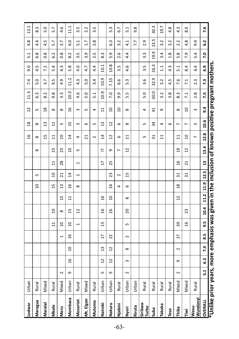| Lodwar                                                                                           | Urban |        |                |                 |                          |                          |                 |                 |                |                          |                          |                | $\frac{1}{2}$   | $\frac{8}{2}$   | $\frac{3}{2}$  | 11.3             | 7.4              | $\overline{9.0}$ | 5.1              | 4.8              | 13.1             |
|--------------------------------------------------------------------------------------------------|-------|--------|----------------|-----------------|--------------------------|--------------------------|-----------------|-----------------|----------------|--------------------------|--------------------------|----------------|-----------------|-----------------|----------------|------------------|------------------|------------------|------------------|------------------|------------------|
| Maragua                                                                                          | Rural |        |                |                 |                          |                          |                 |                 | $\overline{a}$ | S                        |                          | ${}^{\infty}$  | ${}^{\circ}$    | ${}^{\circ}$    | S              | 6.3              | 5.0              | 4.5              | 6.8              | 4.4              | 8.3              |
| Maralal                                                                                          | Mixed |        |                |                 |                          |                          |                 |                 |                |                          |                          |                | 15              | $\overline{13}$ | $\frac{8}{18}$ | 8.2              | 3.7              | 7.2              | $\overline{0.8}$ | 4.5              | 5.0              |
| Mbale                                                                                            | Rural |        |                |                 |                          | $\overline{11}$          | $\overline{a}$  |                 | 15             | $\overline{a}$           | 님                        | 23             | 님               | $\Xi$           | $\infty$       | 9.8              | 9.5              | 5.4              | 6.2              | 5.7              | 5.7              |
| Meru                                                                                             | Mixed | $\sim$ |                |                 | $\overline{\phantom{0}}$ | $\overline{a}$           | $\infty$        | 5               | 13             | $\overline{21}$          | 28                       | 23             | ្ព              | S               | $\infty$       | $3.\overline{3}$ | 4.9              | 4.3              | $0.\overline{8}$ | 2.7              | 4.6              |
| <b>Mombasa</b>                                                                                   | Urban | თ      | $\frac{9}{2}$  | $\overline{a}$  | $\frac{6}{2}$            | $\overline{a}$           | $\overline{1}$  | $\overline{1}$  | $\frac{6}{2}$  | $\overline{4}$           |                          | $\overline{a}$ | $\ddot{a}$      | 15              | $\frac{6}{2}$  | 10.3             | 11.2             | 5.8              | $\overline{8.2}$ | $\frac{0}{6}$    | 11.1             |
| Mosoriot                                                                                         | Rural |        |                |                 |                          | $\overline{\phantom{0}}$ | $\overline{12}$ |                 | $\infty$       | $\overline{\phantom{0}}$ | $\overline{\phantom{0}}$ | 5              | 4               | $\mathsf{S}$    | $\omega$       | 4.6              | $4.\overline{3}$ | 4.0              | 3.5              | 5.1              | 3.5              |
| Mt. Elgon                                                                                        | Mixed |        |                |                 |                          |                          |                 |                 |                |                          |                          |                | ಸ               | 9               | Lŋ             | 5.0              | 5.0              | 4.7              | 3.9              | $\overline{1}$ . | 2.2              |
| Mutomo                                                                                           | Rural |        |                |                 |                          |                          |                 |                 |                |                          |                          |                | $\sim$          | S               | 4              | 5.1              | 3.4              | 4.4              | 2.5              | 2.8              | 3.5              |
| Nairobi                                                                                          | Urban | 5      | $\overline{1}$ | $\overline{13}$ | $\overline{1}$           | 15                       | 16              | $\overline{a}$  |                |                          | H                        | L.             | $\sharp$        | $\mathfrak{u}$  | $\Xi$          | 10.9             | 10.9             | 10.1             | 8.3              |                  |                  |
| Nakuru                                                                                           | Urban | თ      | $\overline{c}$ | $\overline{1}$  | 22                       |                          | 26              | ă               | 24             | 23                       | 25                       | G              | 51              | $\overline{12}$ | $\overline{a}$ | 7.0              | 7.15             | 10.8             | 5.9              | 63               | 5.3              |
| Njabini                                                                                          | Rural |        |                |                 |                          |                          |                 |                 | 4              | $\sim$                   |                          | $\overline{ }$ | 9               | $\circ$         | $\overline{a}$ | 9.9              | 9.9              | 3.5              | 2.6              | 3.2              | 6.7              |
| Nyeri                                                                                            | Urban | $\sim$ | $\mathsf{c}$   | $\infty$        | $\sim$                   | Lŋ                       | 20              | $\infty$        | 6              | $\overline{1}$           |                          | $\overline{c}$ | $\Xi$           | $\infty$        | $\infty$       | 5.5              | 5.3              | 4.6              | 4.4              | 4.1              | 5.1              |
| Riruta                                                                                           | Urban |        |                |                 |                          |                          |                 |                 |                |                          |                          |                |                 |                 |                |                  |                  |                  |                  | 7.7              | 9.8              |
| Sirikwa-<br>Turbo                                                                                | Rural |        |                |                 |                          |                          |                 |                 |                |                          |                          |                | Lŋ              | Lŋ              | 4              | 5.0              | 3.6              | 3.5              | $3.\overline{3}$ | 2.9              |                  |
| <b>Suba</b>                                                                                      | Rural |        |                |                 |                          |                          |                 |                 |                |                          |                          |                | $\overline{31}$ | 34              | $\overline{4}$ | 30.0             | 32.9             | 26.3             | 19.9             | 23.5             | 30.3             |
| Tabaka                                                                                           | Rural |        |                |                 |                          |                          |                 |                 |                |                          |                          |                | $\Xi$           | 4               | თ              | 3.2              | 3.2              | $\frac{1}{11}$   | 3.4              | 3.2              | 19.7             |
| Teso                                                                                             | Rural |        |                |                 |                          |                          |                 |                 |                |                          |                          |                |                 | 6               |                | 3.8              | 4.5              | 4.3              | $\frac{8}{1}$    | 2<br>ന്          | 4.8              |
| Thika                                                                                            | Mixed | $\sim$ | G              | $\sim$          | 27                       | 39                       |                 | $\overline{12}$ | $^{28}$        | $\overline{31}$          | $\overline{a}$           | $\overline{c}$ | $\mathbf{1}$    | $\overline{ }$  | $\infty$       | 8.3              | 7.6              | 5.1              | 5.8              | 2<br>Ń۰          | $4.\overline{3}$ |
| <u>iwi</u>                                                                                       | Mixed |        |                |                 |                          | 16                       | 23              |                 |                | 31                       | $\overline{z}$           | $\overline{1}$ | $\overline{a}$  | $\overline{ }$  | $\overline{a}$ | 7.1              | 7.1              | 8.4              | 7.9              | 4.8              | 8.6              |
| Wundanyi<br>Wesu-                                                                                | Rural |        |                |                 |                          |                          |                 |                 |                |                          |                          |                | $\overline{a}$  | S               | $\infty$       | 2.8              | 2.3              | 6.4              | 5.4              | თ<br>ക്          |                  |
| OVERALL                                                                                          |       | 5.1    | 3              | 7.4             | 8.5                      | ე.<br>თ                  | 10.4            |                 | 11.2 11.9 12.5 |                          | $\overline{a}$           | 13.4           | 12.8            | 10.6            | 3.4            | 7.5              | 7.3              | 6.9              | <b>P.O</b>       | <b>G.2</b>       | 7.6              |
| Unlike prior years, more emphasis was given in the inclusion of known positive pregnant mothers. |       |        |                |                 |                          |                          |                 |                 |                |                          |                          |                |                 |                 |                |                  |                  |                  |                  |                  |                  |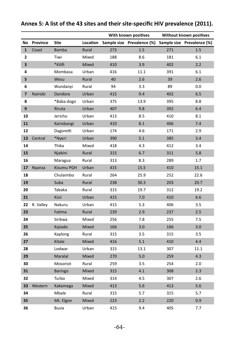|              |           |                |          |     | With known positives       |     | Without known positives    |
|--------------|-----------|----------------|----------|-----|----------------------------|-----|----------------------------|
| No           | Province  | Site           | Location |     | Sample size Prevalence (%) |     | Sample size Prevalence (%) |
| $\mathbf{1}$ | Coast     | <b>Bamba</b>   | Rural    | 273 | 1.5                        | 271 | 1.5                        |
| 2            |           | Tiwi           | Mixed    | 188 | 8.6                        | 181 | 6.1                        |
| 3            |           | *Kilifi        | Mixed    | 410 | 3.9                        | 402 | $2.2$                      |
| 4            |           | Mombasa        | Urban    | 416 | 11.1                       | 391 | 6.1                        |
| 5            |           | Wesu           | Rural    | 40  | 2.6                        | 39  | $2.6\,$                    |
| 6            |           | Wundanyi       | Rural    | 94  | 3.3                        | 89  | 0.0                        |
| 7            | Nairobi   | Dandora        | Urban    | 415 | 9.4                        | 402 | 6.5                        |
| 8            |           | *Baba dogo     | Urban    | 375 | 13.9                       | 395 | 8.8                        |
| 9            |           | Riruta         | Urban    | 407 | 9.8                        | 392 | 6.4                        |
| 10           |           | Jericho        | Urban    | 413 | 8.5                        | 410 | 8.1                        |
| 11           |           | Kariobangi     | Urban    | 410 | 8.1                        | 406 | 7.4                        |
| 12           |           | Dagoretti      | Urban    | 174 | 4.6                        | 171 | 2.9                        |
| 13           | Central   | *Nyeri         | Urban    | 390 | 5.1                        | 385 | 3.4                        |
| 14           |           | Thika          | Mixed    | 418 | 4.3                        | 412 | 3.4                        |
| 15           |           | Njabini        | Rural    | 315 | 6.7                        | 311 | 5.8                        |
| 16           |           | Maragua        | Rural    | 313 | 8.3                        | 289 | 1.7                        |
| 17           | Nyanza    | Kisumu PGH     | Urban    | 415 | 15.5                       | 410 | 15.1                       |
| 18           |           | Chulaimbo      | Rural    | 264 | 25.9                       | 252 | 22.6                       |
| 19           |           | Suba           | Rural    | 238 | 30.3                       | 203 | 20.7                       |
| 20           |           | Tabaka         | Rural    | 315 | 19.7                       | 312 | 19.2                       |
| 21           |           | Kisii          | Urban    | 415 | 7.0                        | 410 | $6.6\,$                    |
| 22           | R. Valley | Nakuru         | Urban    | 415 | 5.3                        | 406 | 3.5                        |
| 23           |           | Fatima         | Rural    | 239 | 2.9                        | 237 | 2.5                        |
| 24           |           | Sirikwa        | Mixed    | 256 | 7.8                        | 255 | 7.5                        |
| 25           |           | Kajiado        | Mixed    | 166 | 3.0                        | 166 | 3.0                        |
| 26           |           | Kaplong        | Rural    | 315 | 3.5                        | 315 | 3.5                        |
| 27           |           | Kitale         | Mixed    | 416 | $5.1$                      | 410 | 4.4                        |
| 28           |           | Lodwar         | Urban    | 315 | 13.1                       | 307 | 11.1                       |
| 29           |           | Maralal        | Mixed    | 270 | 5.0                        | 259 | 4.3                        |
| 30           |           | Mosoriot       | Rural    | 259 | 3.5                        | 254 | 2.0                        |
| 31           |           | <b>Baringo</b> | Mixed    | 315 | 4.1                        | 308 | 2.3                        |
| 32           |           | Turbo          | Mixed    | 314 | 4.5                        | 307 | 2.6                        |
| 33           | Western   | Kakamega       | Mixed    | 413 | 5.6                        | 413 | 5.6                        |
| 34           |           | Mbale          | Rural    | 315 | 5.7                        | 315 | 5.7                        |
| 35           |           | Mt. Elgon      | Mixed    | 223 | 2.2                        | 220 | 0.9                        |
| 36           |           | <b>Busia</b>   | Urban    | 415 | 9.4                        | 405 | 7.7                        |

## **Annex 5: A list of the 43 sites and their site-specific HIV prevalence (2011).**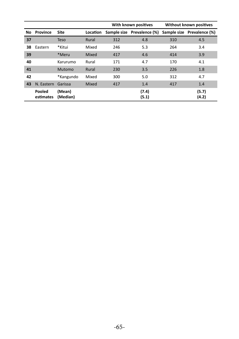|    |                     |                    |          |     | With known positives       |     | Without known positives    |
|----|---------------------|--------------------|----------|-----|----------------------------|-----|----------------------------|
| No | Province            | <b>Site</b>        | Location |     | Sample size Prevalence (%) |     | Sample size Prevalence (%) |
| 37 |                     | Teso               | Rural    | 312 | 4.8                        | 310 | 4.5                        |
| 38 | Eastern             | *Kitui             | Mixed    | 246 | 5.3                        | 264 | 3.4                        |
| 39 |                     | *Meru              | Mixed    | 417 | 4.6                        | 414 | 3.9                        |
| 40 |                     | Karurumo           | Rural    | 171 | 4.7                        | 170 | 4.1                        |
| 41 |                     | Mutomo             | Rural    | 230 | 3.5                        | 226 | 1.8                        |
| 42 |                     | *Kangundo          | Mixed    | 300 | 5.0                        | 312 | 4.7                        |
| 43 | N. Eastern          | Garissa            | Mixed    | 417 | 1.4                        | 417 | 1.4                        |
|    | Pooled<br>estimates | (Mean)<br>(Median) |          |     | (7.4)<br>(5.1)             |     | (5.7)<br>(4.2)             |